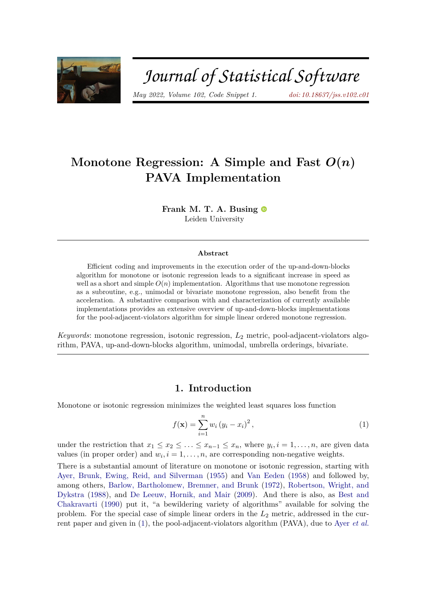

# Journal of Statistical Software

*May 2022, Volume 102, Code Snippet 1. [doi: 10.18637/jss.v102.c01](https://doi.org/10.18637/jss.v102.c01)*

# Monotone Regression: A Simple and Fast  $O(n)$ **PAVA Implementation**

**Frank M. T. A. Busing** Leiden University

#### **Abstract**

Efficient coding and improvements in the execution order of the up-and-down-blocks algorithm for monotone or isotonic regression leads to a significant increase in speed as well as a short and simple  $O(n)$  implementation. Algorithms that use monotone regression as a subroutine, e.g., unimodal or bivariate monotone regression, also benefit from the acceleration. A substantive comparison with and characterization of currently available implementations provides an extensive overview of up-and-down-blocks implementations for the pool-adjacent-violators algorithm for simple linear ordered monotone regression.

*Keywords*: monotone regression, isotonic regression, *L*<sup>2</sup> metric, pool-adjacent-violators algorithm, PAVA, up-and-down-blocks algorithm, unimodal, umbrella orderings, bivariate.

# **1. Introduction**

Monotone or isotonic regression minimizes the weighted least squares loss function

<span id="page-0-0"></span>
$$
f(\mathbf{x}) = \sum_{i=1}^{n} w_i (y_i - x_i)^2, \qquad (1)
$$

under the restriction that  $x_1 \le x_2 \le \ldots \le x_{n-1} \le x_n$ , where  $y_i, i = 1, \ldots, n$ , are given data values (in proper order) and  $w_i$ ,  $i = 1, \ldots, n$ , are corresponding non-negative weights.

There is a substantial amount of literature on monotone or isotonic regression, starting with [Ayer, Brunk, Ewing, Reid, and Silverman](#page-14-0) [\(1955\)](#page-14-0) and [Van Eeden](#page-18-0) [\(1958\)](#page-18-0) and followed by, among others, [Barlow, Bartholomew, Bremner, and Brunk](#page-14-1) [\(1972\)](#page-14-1), [Robertson, Wright, and](#page-17-0) [Dykstra](#page-17-0) [\(1988\)](#page-17-0), and [De Leeuw, Hornik, and Mair](#page-15-0) [\(2009\)](#page-15-0). And there is also, as [Best and](#page-14-2) [Chakravarti](#page-14-2) [\(1990\)](#page-14-2) put it, "a bewildering variety of algorithms" available for solving the problem. For the special case of simple linear orders in the *L*<sup>2</sup> metric, addressed in the current paper and given in [\(1\)](#page-0-0), the pool-adjacent-violators algorithm (PAVA), due to Ayer *[et al.](#page-14-0)*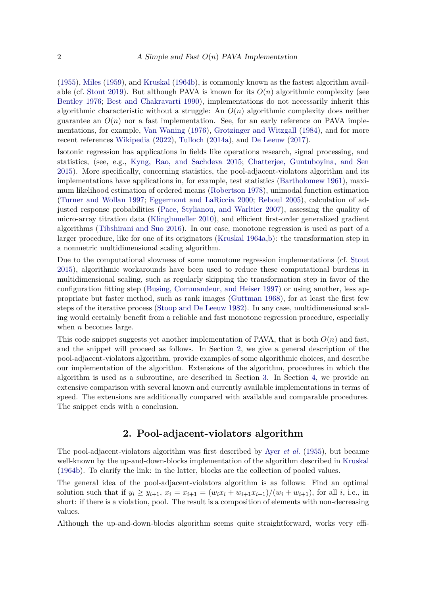[\(1955\)](#page-14-0), [Miles](#page-16-0) [\(1959\)](#page-16-0), and [Kruskal](#page-16-1) [\(1964b\)](#page-16-1), is commonly known as the fastest algorithm avail-able (cf. [Stout](#page-17-1) [2019\)](#page-17-1). But although PAVA is known for its  $O(n)$  algorithmic complexity (see [Bentley](#page-14-3) [1976;](#page-14-3) [Best and Chakravarti](#page-14-2) [1990\)](#page-14-2), implementations do not necessarily inherit this algorithmic characteristic without a struggle: An *O*(*n*) algorithmic complexity does neither guarantee an  $O(n)$  nor a fast implementation. See, for an early reference on PAVA implementations, for example, [Van Waning](#page-18-1) [\(1976\)](#page-18-1), [Grotzinger and Witzgall](#page-16-2) [\(1984\)](#page-16-2), and for more recent references [Wikipedia](#page-18-2) [\(2022\)](#page-18-2), [Tulloch](#page-18-3) [\(2014a\)](#page-18-3), and [De Leeuw](#page-15-1) [\(2017\)](#page-15-1).

Isotonic regression has applications in fields like operations research, signal processing, and statistics, (see, e.g., [Kyng, Rao, and Sachdeva](#page-16-3) [2015;](#page-16-3) [Chatterjee, Guntuboyina, and Sen](#page-14-4) [2015\)](#page-14-4). More specifically, concerning statistics, the pool-adjacent-violators algorithm and its implementations have applications in, for example, test statistics [\(Bartholomew](#page-14-5) [1961\)](#page-14-5), maximum likelihood estimation of ordered means [\(Robertson](#page-17-2) [1978\)](#page-17-2), unimodal function estimation [\(Turner and Wollan](#page-18-4) [1997;](#page-18-4) [Eggermont and LaRiccia](#page-15-2) [2000;](#page-15-2) [Reboul](#page-17-3) [2005\)](#page-17-3), calculation of adjusted response probabilities [\(Pace, Stylianou, and Warltier](#page-16-4) [2007\)](#page-16-4), assessing the quality of micro-array titration data [\(Klinglmueller](#page-16-5) [2010\)](#page-16-5), and efficient first-order generalized gradient algorithms [\(Tibshirani and Suo](#page-18-5) [2016\)](#page-18-5). In our case, monotone regression is used as part of a larger procedure, like for one of its originators [\(Kruskal](#page-16-6) [1964a,](#page-16-6)[b\)](#page-16-1): the transformation step in a nonmetric multidimensional scaling algorithm.

Due to the computational slowness of some monotone regression implementations (cf. [Stout](#page-17-4) [2015\)](#page-17-4), algorithmic workarounds have been used to reduce these computational burdens in multidimensional scaling, such as regularly skipping the transformation step in favor of the configuration fitting step [\(Busing, Commandeur, and Heiser](#page-14-6) [1997\)](#page-14-6) or using another, less appropriate but faster method, such as rank images [\(Guttman](#page-16-7) [1968\)](#page-16-7), for at least the first few steps of the iterative process [\(Stoop and De Leeuw](#page-17-5) [1982\)](#page-17-5). In any case, multidimensional scaling would certainly benefit from a reliable and fast monotone regression procedure, especially when *n* becomes large.

This code snippet suggests yet another implementation of PAVA, that is both  $O(n)$  and fast, and the snippet will proceed as follows. In Section [2,](#page-1-0) we give a general description of the pool-adjacent-violators algorithm, provide examples of some algorithmic choices, and describe our implementation of the algorithm. Extensions of the algorithm, procedures in which the algorithm is used as a subroutine, are described in Section [3.](#page-5-0) In Section [4,](#page-7-0) we provide an extensive comparison with several known and currently available implementations in terms of speed. The extensions are additionally compared with available and comparable procedures. The snippet ends with a conclusion.

# **2. Pool-adjacent-violators algorithm**

<span id="page-1-0"></span>The pool-adjacent-violators algorithm was first described by Ayer *[et al.](#page-14-0)* [\(1955\)](#page-14-0), but became well-known by the up-and-down-blocks implementation of the algorithm described in [Kruskal](#page-16-1) [\(1964b\)](#page-16-1). To clarify the link: in the latter, blocks are the collection of pooled values.

The general idea of the pool-adjacent-violators algorithm is as follows: Find an optimal solution such that if  $y_i \ge y_{i+1}$ ,  $x_i = x_{i+1} = (w_i x_i + w_{i+1} x_{i+1})/(w_i + w_{i+1})$ , for all *i*, i.e., in short: if there is a violation, pool. The result is a composition of elements with non-decreasing values.

Although the up-and-down-blocks algorithm seems quite straightforward, works very effi-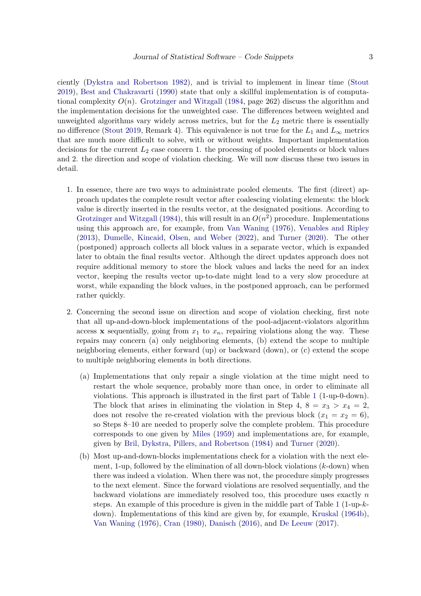ciently [\(Dykstra and Robertson](#page-15-3) [1982\)](#page-15-3), and is trivial to implement in linear time [\(Stout](#page-17-1) [2019\)](#page-17-1), [Best and Chakravarti](#page-14-2) [\(1990\)](#page-14-2) state that only a skillful implementation is of computational complexity  $O(n)$ . [Grotzinger and Witzgall](#page-16-2) [\(1984,](#page-16-2) page 262) discuss the algorithm and the implementation decisions for the unweighted case. The differences between weighted and unweighted algorithms vary widely across metrics, but for the *L*<sup>2</sup> metric there is essentially no difference [\(Stout](#page-17-1) [2019,](#page-17-1) Remark 4). This equivalence is not true for the  $L_1$  and  $L_{\infty}$  metrics that are much more difficult to solve, with or without weights. Important implementation decisions for the current  $L_2$  case concern 1. the processing of pooled elements or block values and 2. the direction and scope of violation checking. We will now discuss these two issues in detail.

- 1. In essence, there are two ways to administrate pooled elements. The first (direct) approach updates the complete result vector after coalescing violating elements: the block value is directly inserted in the results vector, at the designated positions. According to [Grotzinger and Witzgall](#page-16-2) [\(1984\)](#page-16-2), this will result in an  $O(n^2)$  procedure. Implementations using this approach are, for example, from [Van Waning](#page-18-1) [\(1976\)](#page-18-1), [Venables and Ripley](#page-18-6) [\(2013\)](#page-18-6), [Dumelle, Kincaid, Olsen, and Weber](#page-15-4) [\(2022\)](#page-15-4), and [Turner](#page-18-7) [\(2020\)](#page-18-7). The other (postponed) approach collects all block values in a separate vector, which is expanded later to obtain the final results vector. Although the direct updates approach does not require additional memory to store the block values and lacks the need for an index vector, keeping the results vector up-to-date might lead to a very slow procedure at worst, while expanding the block values, in the postponed approach, can be performed rather quickly.
- 2. Concerning the second issue on direction and scope of violation checking, first note that all up-and-down-block implementations of the pool-adjacent-violators algorithm access **x** sequentially, going from  $x_1$  to  $x_n$ , repairing violations along the way. These repairs may concern (a) only neighboring elements, (b) extend the scope to multiple neighboring elements, either forward (up) or backward (down), or (c) extend the scope to multiple neighboring elements in both directions.
	- (a) Implementations that only repair a single violation at the time might need to restart the whole sequence, probably more than once, in order to eliminate all violations. This approach is illustrated in the first part of Table [1](#page-3-0) (1-up-0-down). The block that arises in eliminating the violation in Step 4,  $8 = x_3 > x_4 = 2$ , does not resolve the re-created violation with the previous block  $(x_1 = x_2 = 6)$ , so Steps 8–10 are needed to properly solve the complete problem. This procedure corresponds to one given by [Miles](#page-16-0) [\(1959\)](#page-16-0) and implementations are, for example, given by [Bril, Dykstra, Pillers, and Robertson](#page-14-7) [\(1984\)](#page-14-7) and [Turner](#page-18-7) [\(2020\)](#page-18-7).
	- (b) Most up-and-down-blocks implementations check for a violation with the next element, 1-up, followed by the elimination of all down-block violations (*k*-down) when there was indeed a violation. When there was not, the procedure simply progresses to the next element. Since the forward violations are resolved sequentially, and the backward violations are immediately resolved too, this procedure uses exactly *n* steps. An example of this procedure is given in the middle part of Table [1](#page-3-0) (1-up-*k*down). Implementations of this kind are given by, for example, [Kruskal](#page-16-1) [\(1964b\)](#page-16-1), [Van Waning](#page-18-1) [\(1976\)](#page-18-1), [Cran](#page-15-5) [\(1980\)](#page-15-5), [Danisch](#page-15-6) [\(2016\)](#page-15-6), and [De Leeuw](#page-15-1) [\(2017\)](#page-15-1).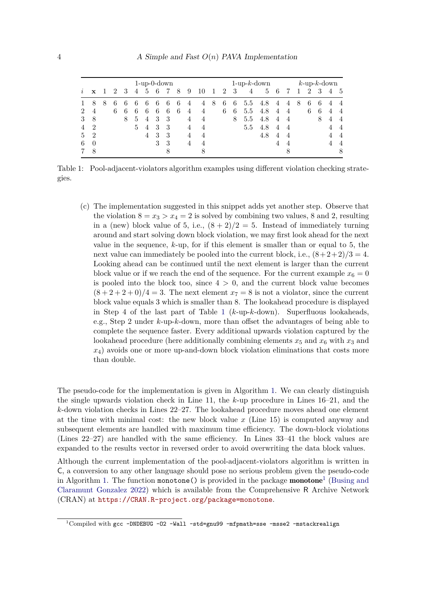<span id="page-3-0"></span>

|          | $1$ -up-0-down |   |   |   |   |                |   |   |   |                |    |    | $1$ -up- $k$ -down |     |                |     |   |                | $k$ -up- $k$ -down |                |   |                |                |
|----------|----------------|---|---|---|---|----------------|---|---|---|----------------|----|----|--------------------|-----|----------------|-----|---|----------------|--------------------|----------------|---|----------------|----------------|
| $\imath$ | $\mathbf{x}$   |   | 2 | 3 | 4 | 5              | 6 |   | 8 | 9              | 10 | -1 | $\overline{2}$     | - 3 | $\overline{4}$ | 5   | 6 |                |                    | $\overline{2}$ | 3 | $\overline{4}$ | - 5            |
|          | 8              | 8 | 6 |   | 6 | 6              | 6 | 6 | 6 | 4              | 4  | 8  | 6                  | 6   | 5.5            | 4.8 | 4 | 4              | 8                  | 6              | 6 |                | 4              |
| 2        | $\overline{4}$ |   | 6 | 6 | 6 | 6              | 6 | 6 | 6 | $\overline{4}$ | 4  |    | 6                  | 6   | 5.5            | 4.8 | 4 | $\overline{4}$ |                    | 6              | 6 | $\overline{4}$ | $\overline{4}$ |
| 3        | 8              |   |   | 8 | 5 | $\overline{4}$ | 3 | 3 |   | 4              | 4  |    |                    | 8   | 5.5            | 4.8 | 4 | $\overline{4}$ |                    |                | 8 |                | $\overline{4}$ |
| 4        | $\mathcal{D}$  |   |   |   | 5 | 4              | 3 | 3 |   | 4              | 4  |    |                    |     | 5.5            | 4.8 | 4 | $\overline{4}$ |                    |                |   |                | $\overline{4}$ |
| 5        | $\overline{2}$ |   |   |   |   | 4              | 3 | 3 |   | 4              | 4  |    |                    |     |                | 4.8 | 4 | 4              |                    |                |   |                | $\overline{4}$ |
| 6        | $\Omega$       |   |   |   |   |                | 3 | 3 |   | 4              | 4  |    |                    |     |                |     | 4 | 4              |                    |                |   |                | $\overline{4}$ |
|          | 8              |   |   |   |   |                |   |   |   |                | 8  |    |                    |     |                |     |   | 8              |                    |                |   |                | 8              |

Table 1: Pool-adjacent-violators algorithm examples using different violation checking strategies.

(c) The implementation suggested in this snippet adds yet another step. Observe that the violation  $8 = x_3 > x_4 = 2$  is solved by combining two values, 8 and 2, resulting in a (new) block value of 5, i.e.,  $(8 + 2)/2 = 5$ . Instead of immediately turning around and start solving down block violation, we may first look ahead for the next value in the sequence, *k*-up, for if this element is smaller than or equal to 5, the next value can immediately be pooled into the current block, i.e.,  $(8+2+2)/3 = 4$ . Looking ahead can be continued until the next element is larger than the current block value or if we reach the end of the sequence. For the current example  $x_6 = 0$ is pooled into the block too, since  $4 > 0$ , and the current block value becomes  $(8 + 2 + 2 + 0)/4 = 3$ . The next element  $x<sub>7</sub> = 8$  is not a violator, since the current block value equals 3 which is smaller than 8. The lookahead procedure is displayed in Step 4 of the last part of Table [1](#page-3-0) (*k*-up-*k*-down). Superfluous lookaheads, e.g., Step 2 under *k*-up-*k*-down, more than offset the advantages of being able to complete the sequence faster. Every additional upwards violation captured by the lookahead procedure (here additionally combining elements  $x_5$  and  $x_6$  with  $x_3$  and *x*4) avoids one or more up-and-down block violation eliminations that costs more than double.

The pseudo-code for the implementation is given in Algorithm [1.](#page-4-0) We can clearly distinguish the single upwards violation check in Line 11, the *k*-up procedure in Lines 16–21, and the *k*-down violation checks in Lines 22–27. The lookahead procedure moves ahead one element at the time with minimal cost: the new block value *x* (Line 15) is computed anyway and subsequent elements are handled with maximum time efficiency. The down-block violations (Lines 22–27) are handled with the same efficiency. In Lines 33–41 the block values are expanded to the results vector in reversed order to avoid overwriting the data block values.

Although the current implementation of the pool-adjacent-violators algorithm is written in C, a conversion to any other language should pose no serious problem given the pseudo-code in Algorithm [1.](#page-4-0) The function monotone() is provided in the package **monotone**<sup>[1](#page-3-1)</sup> [\(Busing and](#page-14-8) [Claramunt Gonzalez](#page-14-8) [2022\)](#page-14-8) which is available from the Comprehensive R Archive Network (CRAN) at <https://CRAN.R-project.org/package=monotone>.

<span id="page-3-1"></span> $1$ Compiled with gcc -DNDEBUG -02 -Wall -std=gnu99 -mfpmath=sse -msse2 -mstackrealign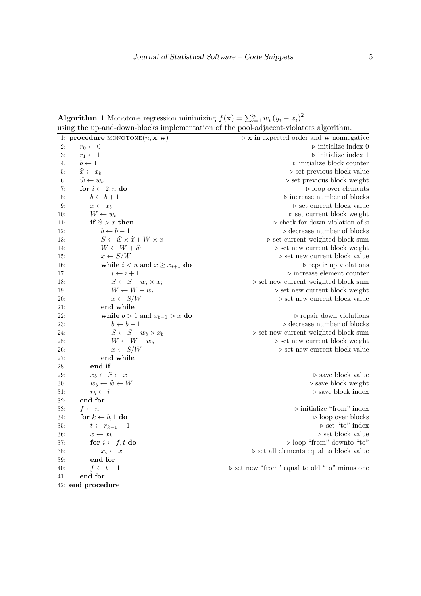**Algorithm 1** Monotone regression minimizing  $f(\mathbf{x}) = \sum_{i=1}^{n} w_i (y_i - x_i)^2$ using the up-and-down-blocks implementation of the pool-adjacent-violators algorithm.

<span id="page-4-0"></span>

|     |                                                            | $\overline{\phantom{a}}$                                    |
|-----|------------------------------------------------------------|-------------------------------------------------------------|
|     | 1: procedure MONOTONE $(n, \mathbf{x}, \mathbf{w})$        | $\triangleright$ x in expected order and w nonnegative      |
| 2:  | $r_0 \leftarrow 0$                                         | $\triangleright$ initialize index 0                         |
| 3:  | $r_1 \leftarrow 1$                                         | $\triangleright$ initialize index 1                         |
| 4:  | $b \leftarrow 1$                                           | $\triangleright$ initialize block counter                   |
| 5:  | $\widehat{x} \leftarrow x_b$                               | $\triangleright$ set previous block value                   |
| 6:  | $\widehat{w} \leftarrow w_b$                               | $\triangleright$ set previous block weight                  |
| 7:  | for $i \leftarrow 2, n$ do                                 | $\triangleright$ loop over elements                         |
| 8:  | $b \leftarrow b + 1$                                       | $\triangleright$ increase number of blocks                  |
| 9:  | $x \leftarrow x_b$                                         | $\triangleright$ set current block value                    |
| 10: | $W \leftarrow w_b$                                         | $\rhd$ set current block weight                             |
| 11: | if $\hat{x} > x$ then                                      | $\triangleright$ check for down violation of $x$            |
| 12: | $b \leftarrow b - 1$                                       | $\triangleright$ decrease number of blocks                  |
| 13: | $S \leftarrow \widehat{w} \times \widehat{x} + W \times x$ | $\triangleright$ set current weighted block sum             |
| 14: | $W \leftarrow W + \hat{w}$                                 | $\triangleright$ set new current block weight               |
| 15: | $x \leftarrow S/W$                                         | $\triangleright$ set new current block value                |
| 16: | while $i < n$ and $x \geq x_{i+1}$ do                      | $\triangleright$ repair up violations                       |
| 17: | $i \leftarrow i + 1$                                       | $\triangleright$ increase element counter                   |
| 18: | $S \leftarrow S + w_i \times x_i$                          | $\triangleright$ set new current weighted block sum         |
| 19: | $W \leftarrow W + w_i$                                     | $\rhd$ set new current block weight                         |
| 20: | $x \leftarrow S/W$                                         | $\triangleright$ set new current block value                |
| 21: | end while                                                  |                                                             |
| 22: | while $b > 1$ and $x_{b-1} > x$ do                         | $\rhd$ repair down violations                               |
| 23: | $b \leftarrow b - 1$                                       | $\triangleright$ decrease number of blocks                  |
| 24: | $S \leftarrow S + w_b \times x_b$                          | $\triangleright$ set new current weighted block sum         |
| 25: | $W \leftarrow W + w_b$                                     | $\triangleright$ set new current block weight               |
| 26: | $x \leftarrow S/W$                                         | $\triangleright$ set new current block value                |
| 27: | end while                                                  |                                                             |
| 28: | end if                                                     |                                                             |
| 29: | $x_b \leftarrow \hat{x} \leftarrow x$                      | $\triangleright$ save block value                           |
| 30: | $w_b \leftarrow \widehat{w} \leftarrow W$                  | $\triangleright$ save block weight                          |
| 31: | $r_b \leftarrow i$                                         | $\triangleright$ save block index                           |
| 32: | end for                                                    |                                                             |
| 33: | $f \leftarrow n$                                           | $\triangleright$ initialize "from" index                    |
| 34: | for $k \leftarrow b, 1$ do                                 | $\triangleright$ loop over blocks                           |
| 35: | $t \leftarrow r_{k-1} + 1$                                 | $\triangleright$ set "to" index                             |
| 36: | $x \leftarrow x_k$                                         | $\triangleright$ set block value                            |
| 37: | for $i \leftarrow f, t$ do                                 | $\triangleright$ loop "from" downto "to"                    |
| 38: | $x_i \leftarrow x$                                         | $\triangleright$ set all elements equal to block value      |
| 39: | end for                                                    |                                                             |
| 40: | $f \leftarrow t-1$                                         | $\triangleright$ set new "from" equal to old "to" minus one |
| 41: | end for                                                    |                                                             |
|     | 42: end procedure                                          |                                                             |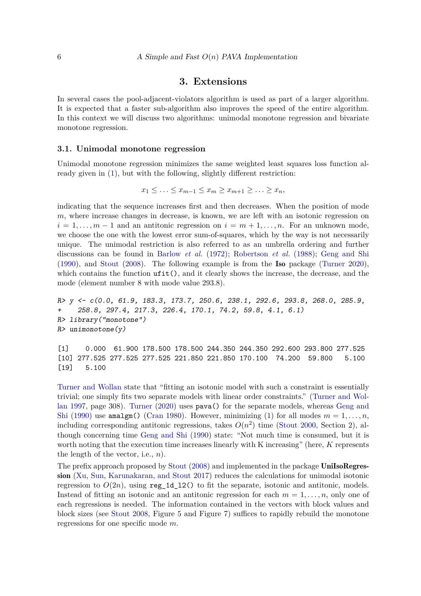# **3. Extensions**

<span id="page-5-0"></span>In several cases the pool-adjacent-violators algorithm is used as part of a larger algorithm. It is expected that a faster sub-algorithm also improves the speed of the entire algorithm. In this context we will discuss two algorithms: unimodal monotone regression and bivariate monotone regression.

#### **3.1. Unimodal monotone regression**

Unimodal monotone regression minimizes the same weighted least squares loss function already given in [\(1\)](#page-0-0), but with the following, slightly different restriction:

$$
x_1 \leq \ldots \leq x_{m-1} \leq x_m \geq x_{m+1} \geq \ldots \geq x_n,
$$

indicating that the sequence increases first and then decreases. When the position of mode *m*, where increase changes in decrease, is known, we are left with an isotonic regression on  $i = 1, \ldots, m-1$  and an antitonic regression on  $i = m+1, \ldots, n$ . For an unknown mode, we choose the one with the lowest error sum-of-squares, which by the way is not necessarily unique. The unimodal restriction is also referred to as an umbrella ordering and further discussions can be found in [Barlow](#page-14-1) *et al.* [\(1972\)](#page-14-1); [Robertson](#page-17-0) *et al.* [\(1988\)](#page-17-0); [Geng and Shi](#page-15-7) [\(1990\)](#page-15-7), and [Stout](#page-17-6) [\(2008\)](#page-17-6). The following example is from the Iso package [\(Turner](#page-18-7) [2020\)](#page-18-7), which contains the function  $\text{ufit}(\cdot)$ , and it clearly shows the increase, the decrease, and the mode (element number 8 with mode value 293*.*8).

```
R> y <- c(0.0, 61.9, 183.3, 173.7, 250.6, 238.1, 292.6, 293.8, 268.0, 285.9,
+ 258.8, 297.4, 217.3, 226.4, 170.1, 74.2, 59.8, 4.1, 6.1)
R> library("monotone")
R> unimonotone(y)
```
[1] 0.000 61.900 178.500 178.500 244.350 244.350 292.600 293.800 277.525 [10] 277.525 277.525 277.525 221.850 221.850 170.100 74.200 59.800 5.100 [19] 5.100

[Turner and Wollan](#page-18-4) state that "fitting an isotonic model with such a constraint is essentially trivial; one simply fits two separate models with linear order constraints." [\(Turner and Wol](#page-18-4)[lan](#page-18-4) [1997,](#page-18-4) page 308). [Turner](#page-18-7) [\(2020\)](#page-18-7) uses pava() for the separate models, whereas [Geng and](#page-15-7) [Shi](#page-15-7) [\(1990\)](#page-15-7) use amalgm() [\(Cran](#page-15-5) [1980\)](#page-15-5). However, minimizing [\(1\)](#page-0-0) for all modes  $m = 1, \ldots, n$ , including corresponding antitonic regressions, takes  $O(n^2)$  time [\(Stout](#page-17-7) [2000,](#page-17-7) Section 2), although concerning time [Geng and Shi](#page-15-7) [\(1990\)](#page-15-7) state: "Not much time is consumed, but it is worth noting that the execution time increases linearly with K increasing" (here, *K* represents the length of the vector, i.e., *n*).

The prefix approach proposed by [Stout](#page-17-6) [\(2008\)](#page-17-6) and implemented in the package UniIsoRegression [\(Xu, Sun, Karunakaran, and Stout](#page-18-8) [2017\)](#page-18-8) reduces the calculations for unimodal isotonic regression to  $O(2n)$ , using reg\_1d\_12() to fit the separate, isotonic and antitonic, models. Instead of fitting an isotonic and an antitonic regression for each  $m = 1, \ldots, n$ , only one of each regressions is needed. The information contained in the vectors with block values and block sizes (see [Stout](#page-17-6) [2008,](#page-17-6) Figure 5 and Figure 7) suffices to rapidly rebuild the monotone regressions for one specific mode *m*.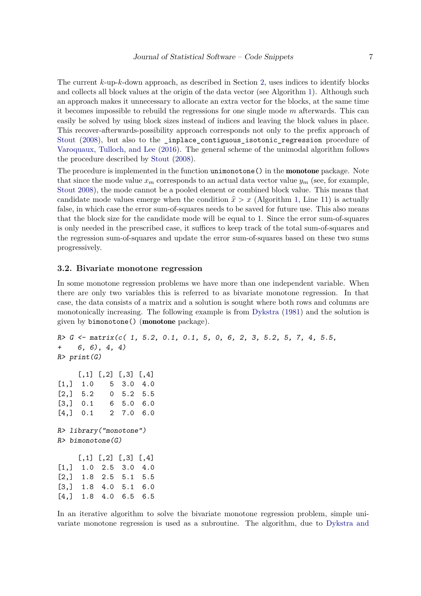The current *k*-up-*k*-down approach, as described in Section [2,](#page-1-0) uses indices to identify blocks and collects all block values at the origin of the data vector (see Algorithm [1\)](#page-4-0). Although such an approach makes it unnecessary to allocate an extra vector for the blocks, at the same time it becomes impossible to rebuild the regressions for one single mode *m* afterwards. This can easily be solved by using block sizes instead of indices and leaving the block values in place. This recover-afterwards-possibility approach corresponds not only to the prefix approach of [Stout](#page-17-6) [\(2008\)](#page-17-6), but also to the \_inplace\_contiguous\_isotonic\_regression procedure of [Varoquaux, Tulloch, and Lee](#page-18-9) [\(2016\)](#page-18-9). The general scheme of the unimodal algorithm follows the procedure described by [Stout](#page-17-6) [\(2008\)](#page-17-6).

The procedure is implemented in the function unimonotone() in the **monotone** package. Note that since the mode value  $x_m$  corresponds to an actual data vector value  $y_m$  (see, for example, [Stout](#page-17-6) [2008\)](#page-17-6), the mode cannot be a pooled element or combined block value. This means that candidate mode values emerge when the condition  $\hat{x} > x$  (Algorithm [1,](#page-4-0) Line 11) is actually false, in which case the error sum-of-squares needs to be saved for future use. This also means that the block size for the candidate mode will be equal to 1. Since the error sum-of-squares is only needed in the prescribed case, it suffices to keep track of the total sum-of-squares and the regression sum-of-squares and update the error sum-of-squares based on these two sums progressively.

#### **3.2. Bivariate monotone regression**

In some monotone regression problems we have more than one independent variable. When there are only two variables this is referred to as bivariate monotone regression. In that case, the data consists of a matrix and a solution is sought where both rows and columns are monotonically increasing. The following example is from [Dykstra](#page-15-8) [\(1981\)](#page-15-8) and the solution is given by bimonotone() (monotone package).

```
R> G <- matrix(c( 1, 5.2, 0.1, 0.1, 5, 0, 6, 2, 3, 5.2, 5, 7, 4, 5.5,
+ 6, 6), 4, 4)
R> print(G)[0,1] [0,2] [0,3] [0,4][1,] 1.0 5 3.0 4.0
[2,] 5.2 0 5.2 5.5[3,] 0.1 6 5.0 6.0
[4,] 0.1 2 7.0 6.0
R> library("monotone")
R> bimonotone(G)[0,1] [0,2] [0,3] [0,4][1,] 1.0 2.5 3.0 4.0
[2,] 1.8 2.5 5.1 5.5
[3,] 1.8 4.0 5.1 6.0
[4,] 1.8 4.0 6.5 6.5
```
In an iterative algorithm to solve the bivariate monotone regression problem, simple univariate monotone regression is used as a subroutine. The algorithm, due to [Dykstra and](#page-15-3)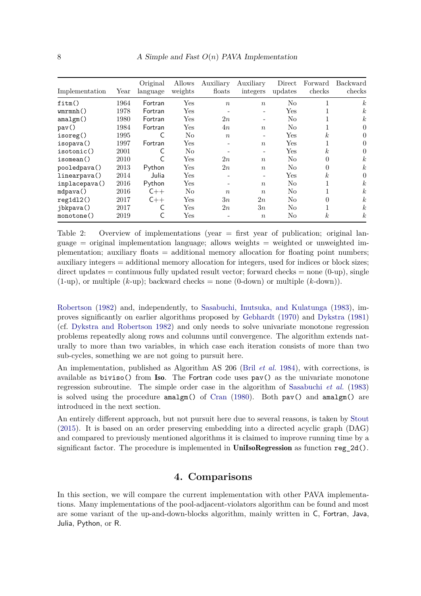<span id="page-7-1"></span>

| Implementation | Year | Original<br>language | Allows<br>weights    | Auxiliary<br>floats | Auxiliary<br>integers | Direct<br>updates | Forward<br>checks | Backward<br>checks |
|----------------|------|----------------------|----------------------|---------------------|-----------------------|-------------------|-------------------|--------------------|
| fitm()         | 1964 | Fortran              | Yes                  | $\boldsymbol{n}$    | $\boldsymbol{n}$      | N <sub>0</sub>    |                   | $\boldsymbol{k}$   |
| wmmh()         | 1978 | Fortran              | $\operatorname{Yes}$ |                     |                       | Yes               |                   | $\boldsymbol{k}$   |
| amalgm()       | 1980 | Fortran              | Yes                  | 2n                  |                       | N <sub>0</sub>    |                   | $\boldsymbol{k}$   |
| $\text{pav}()$ | 1984 | Fortran              | $\operatorname{Yes}$ | 4n                  | $\boldsymbol{n}$      | N <sub>0</sub>    |                   | 0                  |
| isoreg()       | 1995 |                      | N <sub>o</sub>       | $\boldsymbol{n}$    |                       | Yes               | $k_{\parallel}$   | 0                  |
| isopava()      | 1997 | Fortran              | Yes                  |                     | $\boldsymbol{n}$      | Yes               |                   | 0                  |
| isotonic()     | 2001 |                      | No                   |                     |                       | Yes               | k <sub>i</sub>    | 0                  |
| isomean()      | 2010 |                      | $\operatorname{Yes}$ | 2n                  | $\boldsymbol{n}$      | No                | 0                 | $\boldsymbol{k}$   |
| pooledpava()   | 2013 | Python               | Yes                  | 2n                  | $\boldsymbol{n}$      | N <sub>0</sub>    | $\Omega$          | $\boldsymbol{k}$   |
| linearpava()   | 2014 | Julia                | Yes                  |                     |                       | Yes               | k <sub>i</sub>    | 0                  |
| inplacepava()  | 2016 | Python               | $_{\rm Yes}$         |                     | $\boldsymbol{n}$      | No                |                   | $\boldsymbol{k}$   |
| mdpava()       | 2016 | $C++$                | N <sub>o</sub>       | $\boldsymbol{n}$    | $\boldsymbol{n}$      | N <sub>0</sub>    |                   | $\boldsymbol{k}$   |
| reg1d12()      | 2017 | $C++$                | Yes                  | 3n                  | 2n                    | N <sub>0</sub>    | 0                 | $\boldsymbol{k}$   |
| jbkpava()      | 2017 |                      | Yes                  | 2n                  | 3n                    | N <sub>0</sub>    |                   | $\boldsymbol{k}$   |
| monotone()     | 2019 |                      | Yes                  |                     | $\boldsymbol{n}$      | No                | $\boldsymbol{k}$  | $\boldsymbol{k}$   |

Table 2: Overview of implementations (year = first year of publication; original language  $=$  original implementation language; allows weights  $=$  weighted or unweighted implementation; auxiliary floats  $=$  additional memory allocation for floating point numbers; auxiliary integers = additional memory allocation for integers, used for indices or block sizes; direct updates  $=$  continuous fully updated result vector; forward checks  $=$  none  $(0\text{-up})$ , single  $(1-up)$ , or multiple  $(k-up)$ ; backward checks = none  $(0-down)$  or multiple  $(k-down)$ .

[Robertson](#page-15-3) [\(1982\)](#page-15-3) and, independently, to [Sasabuchi, Inutsuka, and Kulatunga](#page-17-8) [\(1983\)](#page-17-8), improves significantly on earlier algorithms proposed by [Gebhardt](#page-15-9) [\(1970\)](#page-15-9) and [Dykstra](#page-15-8) [\(1981\)](#page-15-8) (cf. [Dykstra and Robertson](#page-15-3) [1982\)](#page-15-3) and only needs to solve univariate monotone regression problems repeatedly along rows and columns until convergence. The algorithm extends naturally to more than two variables, in which case each iteration consists of more than two sub-cycles, something we are not going to pursuit here.

An implementation, published as Algorithm AS 206 (Bril *[et al.](#page-14-7)* [1984\)](#page-14-7), with corrections, is available as  $biviso()$  from Iso. The Fortran code uses  $pav()$  as the univariate monotone regression subroutine. The simple order case in the algorithm of [Sasabuchi](#page-17-8) *et al.* [\(1983\)](#page-17-8) is solved using the procedure amalgm() of [Cran](#page-15-5) [\(1980\)](#page-15-5). Both pav() and amalgm() are introduced in the next section.

An entirely different approach, but not pursuit here due to several reasons, is taken by [Stout](#page-17-4) [\(2015\)](#page-17-4). It is based on an order preserving embedding into a directed acyclic graph (DAG) and compared to previously mentioned algorithms it is claimed to improve running time by a significant factor. The procedure is implemented in UniIsoRegression as function reg  $2d()$ .

# **4. Comparisons**

<span id="page-7-0"></span>In this section, we will compare the current implementation with other PAVA implementations. Many implementations of the pool-adjacent-violators algorithm can be found and most are some variant of the up-and-down-blocks algorithm, mainly written in C, Fortran, Java, Julia, Python, or R.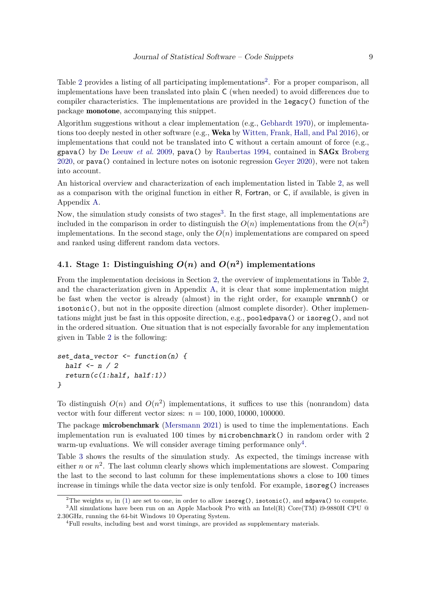Table [2](#page-8-0) provides a listing of all participating implementations<sup>2</sup>. For a proper comparison, all implementations have been translated into plain C (when needed) to avoid differences due to compiler characteristics. The implementations are provided in the legacy() function of the package monotone, accompanying this snippet.

Algorithm suggestions without a clear implementation (e.g., [Gebhardt](#page-15-9) [1970\)](#page-15-9), or implementations too deeply nested in other software (e.g., **Weka** by [Witten, Frank, Hall, and Pal](#page-18-10) [2016\)](#page-18-10), or implementations that could not be translated into  $C$  without a certain amount of force (e.g., gpava() by [De Leeuw](#page-15-0) *et al.* [2009,](#page-15-0) pava() by [Raubertas](#page-17-9) [1994,](#page-17-9) contained in SAGx [Broberg](#page-14-9) [2020,](#page-14-9) or pava() contained in lecture notes on isotonic regression [Geyer](#page-15-10) [2020\)](#page-15-10), were not taken into account.

An historical overview and characterization of each implementation listed in Table [2,](#page-7-1) as well as a comparison with the original function in either R, Fortran, or C, if available, is given in Appendix [A.](#page-19-0)

Now, the simulation study consists of two stages<sup>[3](#page-8-1)</sup>. In the first stage, all implementations are included in the comparison in order to distinguish the  $O(n)$  implementations from the  $O(n^2)$ implementations. In the second stage, only the  $O(n)$  implementations are compared on speed and ranked using different random data vectors.

# <span id="page-8-3"></span>**4.1.** Stage 1: Distinguishing  $O(n)$  and  $O(n^2)$  implementations

From the implementation decisions in Section [2,](#page-1-0) the overview of implementations in Table [2,](#page-7-1) and the characterization given in Appendix [A,](#page-19-0) it is clear that some implementation might be fast when the vector is already (almost) in the right order, for example wmrmnh() or isotonic(), but not in the opposite direction (almost complete disorder). Other implementations might just be fast in this opposite direction, e.g., pooledpava() or isoreg(), and not in the ordered situation. One situation that is not especially favorable for any implementation given in Table [2](#page-7-1) is the following:

```
set_data_vector <- function(n) {
  half \leftarrow n / 2
  return(c(1:half, half:1))}
```
To distinguish  $O(n)$  and  $O(n^2)$  implementations, it suffices to use this (nonrandom) data vector with four different vector sizes:  $n = 100, 1000, 10000, 100000$ .

The package microbenchmark [\(Mersmann](#page-16-8) [2021\)](#page-16-8) is used to time the implementations. Each implementation run is evaluated 100 times by microbenchmark() in random order with 2 warm-up evaluations. We will consider average timing performance only<sup>[4](#page-8-2)</sup>.

Table [3](#page-9-0) shows the results of the simulation study. As expected, the timings increase with either *n* or  $n^2$ . The last column clearly shows which implementations are slowest. Comparing the last to the second to last column for these implementations shows a close to 100 times increase in timings while the data vector size is only tenfold. For example, isoreg() increases

<span id="page-8-1"></span><span id="page-8-0"></span><sup>&</sup>lt;sup>2</sup>The weights  $w_i$  in [\(1\)](#page-0-0) are set to one, in order to allow **isoreg()**, **isotonic()**, and mdpava() to compete. <sup>3</sup>All simulations have been run on an Apple Macbook Pro with an Intel(R) Core(TM) i9-9880H CPU @ 2.30GHz, running the 64-bit Windows 10 Operating System.

<span id="page-8-2"></span><sup>4</sup>Full results, including best and worst timings, are provided as supplementary materials.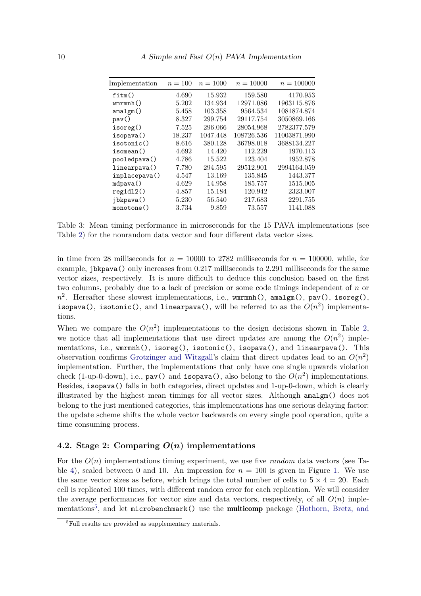<span id="page-9-0"></span>

| Implementation | $n = 100$ | $n = 1000$ | $n = 10000$ | $n = 100000$ |
|----------------|-----------|------------|-------------|--------------|
| fitm()         | 4.690     | 15.932     | 159.580     | 4170.953     |
| wmmh()         | 5.202     | 134.934    | 12971.086   | 1963115.876  |
| amalgm()       | 5.458     | 103.358    | 9564.534    | 1081874.874  |
| $\text{pav}()$ | 8.327     | 299.754    | 29117.754   | 3050869.166  |
| isoreg()       | 7.525     | 296.066    | 28054.968   | 2782377.579  |
| isopava()      | 18.237    | 1047.448   | 108726.536  | 11003871.990 |
| isotonic()     | 8.616     | 380.128    | 36798.018   | 3688134.227  |
| isomean()      | 4.692     | 14.420     | 112.229     | 1970.113     |
| pooledpava()   | 4.786     | 15.522     | 123.404     | 1952.878     |
| linearpava()   | 7.780     | 294.595    | 29512.901   | 2994164.059  |
| inplacepava()  | 4.547     | 13.169     | 135.845     | 1443.377     |
| mdpava()       | 4.629     | 14.958     | 185.757     | 1515.005     |
| reg1d12()      | 4.857     | 15.184     | 120.942     | 2323.007     |
| jbkpava()      | 5.230     | 56.540     | 217.683     | 2291.755     |
| monotone()     | 3.734     | 9.859      | 73.557      | 1141.088     |

Table 3: Mean timing performance in microseconds for the 15 PAVA implementations (see Table [2\)](#page-7-1) for the nonrandom data vector and four different data vector sizes.

in time from 28 milliseconds for  $n = 10000$  to 2782 milliseconds for  $n = 100000$ , while, for example, jbkpava() only increases from 0*.*217 milliseconds to 2*.*291 milliseconds for the same vector sizes, respectively. It is more difficult to deduce this conclusion based on the first two columns, probably due to a lack of precision or some code timings independent of *n* or *n* 2 . Hereafter these slowest implementations, i.e., wmrmnh(), amalgm(), pav(), isoreg(), isopava(), isotonic(), and linearpava(), will be referred to as the  $O(n^2)$  implementations.

When we compare the  $O(n^2)$  implementations to the design decisions shown in Table [2,](#page-7-1) we notice that all implementations that use direct updates are among the  $O(n^2)$  implementations, i.e., wmrmnh(), isoreg(), isotonic(), isopava(), and linearpava(). This observation confirms [Grotzinger and Witzgall'](#page-16-2)s claim that direct updates lead to an  $O(n^2)$ implementation. Further, the implementations that only have one single upwards violation check (1-up-0-down), i.e.,  $\texttt{pav}()$  and  $\texttt{isopava}()$ , also belong to the  $O(n^2)$  implementations. Besides, isopava() falls in both categories, direct updates and 1-up-0-down, which is clearly illustrated by the highest mean timings for all vector sizes. Although amalgm() does not belong to the just mentioned categories, this implementations has one serious delaying factor: the update scheme shifts the whole vector backwards on every single pool operation, quite a time consuming process.

# <span id="page-9-2"></span>**4.2. Stage 2: Comparing**  $O(n)$  implementations

For the *O*(*n*) implementations timing experiment, we use five *random* data vectors (see Ta-ble [4\)](#page-10-0), scaled between 0 and 10. An impression for  $n = 100$  is given in Figure [1.](#page-10-1) We use the same vector sizes as before, which brings the total number of cells to  $5 \times 4 = 20$ . Each cell is replicated 100 times, with different random error for each replication. We will consider the average performances for vector size and data vectors, respectively, of all  $O(n)$  imple-mentations<sup>[5](#page-9-1)</sup>, and let microbenchmark() use the **multicomp** package [\(Hothorn, Bretz, and](#page-16-9)

<span id="page-9-1"></span><sup>&</sup>lt;sup>5</sup>[Full results are provided as supplementary materials.](#page-16-9)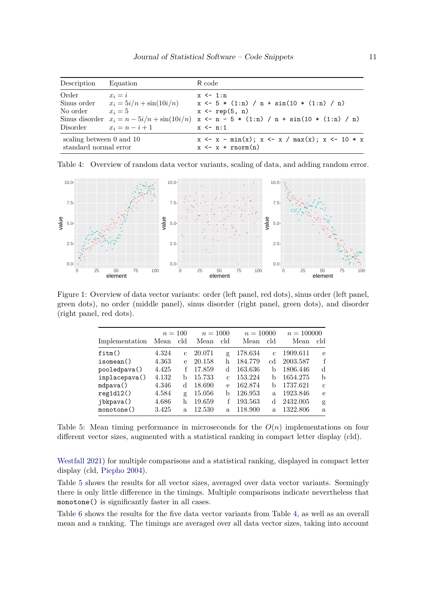<span id="page-10-0"></span>

| Description                                           | Equation                                                                                                                 | R code                                                                                                                                                                               |
|-------------------------------------------------------|--------------------------------------------------------------------------------------------------------------------------|--------------------------------------------------------------------------------------------------------------------------------------------------------------------------------------|
| Order<br>Sinus order<br>No order<br>Disorder          | $x_i = i$<br>$x_i = 5i/n + \sin(10i/n)$<br>$x_i=5$<br>Sinus disorder $x_i = n - 5i/n + \sin(10i/n)$<br>$x_i = n - i + 1$ | $x \leftarrow 1:n$<br>$x \leftarrow 5 * (1:n) / n + sin(10 * (1:n) / n)$<br>$x \leftarrow rep(5, n)$<br>$x \leftarrow n - 5 * (1:n) / n + sin(10 * (1:n) / n)$<br>$x \leftarrow n:1$ |
| scaling between $0$ and $10$<br>standard normal error |                                                                                                                          | $x \leftarrow x - \min(x); x \leftarrow x / \max(x); x \leftarrow 10 * x$<br>$x \leftarrow x + \text{norm}(n)$                                                                       |

Table 4: Overview of random data vector variants, scaling of data, and adding random error.



Figure 1: Overview of data vector variants: order (left panel, red dots), sinus order (left panel, green dots), no order (middle panel), sinus disorder (right panel, green dots), and disorder (right panel, red dots).

<span id="page-10-2"></span><span id="page-10-1"></span>

|                |       | $n=100$      |        | $n = 1000$ |         | $n = 10000$   |          | $n = 100000$  |
|----------------|-------|--------------|--------|------------|---------|---------------|----------|---------------|
| Implementation | Mean  | cld          | Mean   | cld        | Mean    | cld           | Mean     | cld           |
| fitm()         | 4.324 | $\mathbf{C}$ | 20.071 | g          | 178.634 | $\mathcal{C}$ | 1909.611 | e             |
| isomean()      | 4.363 | e            | 20.158 | h          | 184.779 | cd            | 2003.587 | f             |
| pooledpava()   | 4.425 |              | 17.859 | d          | 163.636 | b             | 1806.446 | d             |
| inplacepava()  | 4.132 | b            | 15.733 |            | 153.224 | b             | 1654.275 | b             |
| mdpava()       | 4.346 | d            | 18.690 | e          | 162.874 | b             | 1737.621 | $\mathcal{C}$ |
| reg1d12()      | 4.584 | g            | 15.056 | b          | 126.953 | a.            | 1923.846 | e             |
| jbkpava()      | 4.686 | h            | 19.659 |            | 193.563 | d             | 2432.005 | g             |
| monotone()     | 3.425 | $\mathbf{a}$ | 12.530 | a.         | 118.900 | a.            | 1322.806 | a.            |

Table 5: Mean timing performance in microseconds for the *O*(*n*) implementations on four different vector sizes, augmented with a statistical ranking in compact letter display (cld).

[Westfall](#page-16-9) [2021\)](#page-16-9) for multiple comparisons and a statistical ranking, displayed in compact letter display (cld, [Piepho](#page-17-10) [2004\)](#page-17-10).

Table [5](#page-10-2) shows the results for all vector sizes, averaged over data vector variants. Seemingly there is only little difference in the timings. Multiple comparisons indicate nevertheless that monotone() is significantly faster in all cases.

Table [6](#page-11-0) shows the results for the five data vector variants from Table [4,](#page-10-0) as well as an overall mean and a ranking. The timings are averaged over all data vector sizes, taking into account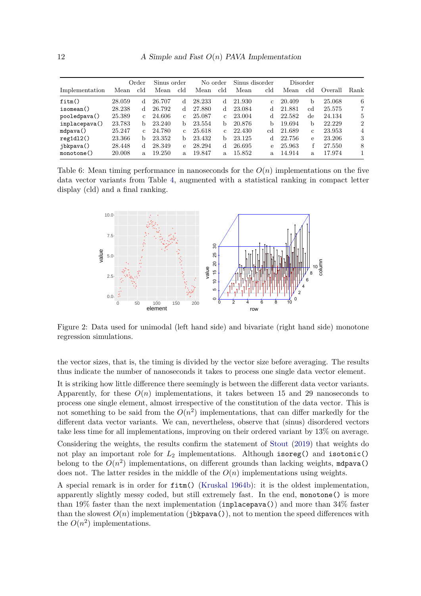|                |        | Order         | Sinus order |               | No order |              | Sinus disorder |              |        | Disorder |         |                |
|----------------|--------|---------------|-------------|---------------|----------|--------------|----------------|--------------|--------|----------|---------|----------------|
| Implementation | Mean   | cld           | Mean        | cld           | Mean     | cld          | Mean           | cld          | Mean   | cld      | Overall | Rank           |
| fitm()         | 28.059 | d             | 26.707      | d             | 28.233   | d            | 21.930         | $\mathbf{c}$ | 20.409 | b        | 25.068  | 6              |
| isomean()      | 28.238 | d             | 26.792      | d             | 27.880   | d            | 23.084         | d            | 21.881 | cd.      | 25.575  | $\overline{7}$ |
| pooledpava()   | 25.389 | $\mathcal{C}$ | 24.606      | $\mathcal{C}$ | 25.087   | C.           | 23.004         | d            | 22.582 | de       | 24.134  | 5              |
| inplacepava()  | 23.783 | h             | 23.240      | b.            | 23.554   | h            | 20.876         | h            | 19.694 | b        | 22.229  | $\overline{2}$ |
| mdpava()       | 25.247 | $\mathcal{C}$ | 24.780      | C.            | 25.618   | $\mathbf{C}$ | 22.430         | cd           | 21.689 | C.       | 23.953  | 4              |
| reg1d12()      | 23.366 | b             | 23.352      | b             | 23.432   | b            | 23.125         | d            | 22.756 | e        | 23.206  | 3              |
| jbkpava()      | 28.448 | d             | 28.349      | e             | 28.294   | d            | 26.695         | e            | 25.963 | f        | 27.550  | 8              |
| monotone()     | 20.008 | a.            | 19.250      | a.            | 19.847   | a.           | 15.852         | a.           | 14.914 | a.       | 17.974  |                |

Table 6: Mean timing performance in nanoseconds for the  $O(n)$  implementations on the five data vector variants from Table [4,](#page-10-0) augmented with a statistical ranking in compact letter display (cld) and a final ranking.

<span id="page-11-1"></span><span id="page-11-0"></span>

Figure 2: Data used for unimodal (left hand side) and bivariate (right hand side) monotone regression simulations.

the vector sizes, that is, the timing is divided by the vector size before averaging. The results thus indicate the number of nanoseconds it takes to process one single data vector element.

It is striking how little difference there seemingly is between the different data vector variants. Apparently, for these  $O(n)$  implementations, it takes between 15 and 29 nanoseconds to process one single element, almost irrespective of the constitution of the data vector. This is not something to be said from the  $O(n^2)$  implementations, that can differ markedly for the different data vector variants. We can, nevertheless, observe that (sinus) disordered vectors take less time for all implementations, improving on their ordered variant by 13% on average.

Considering the weights, the results confirm the statement of [Stout](#page-17-1) [\(2019\)](#page-17-1) that weights do not play an important role for *L*<sup>2</sup> implementations. Although isoreg() and isotonic() belong to the  $O(n^2)$  implementations, on different grounds than lacking weights, mdpava() does not. The latter resides in the middle of the  $O(n)$  implementations using weights.

A special remark is in order for fitm() [\(Kruskal](#page-16-1) [1964b\)](#page-16-1): it is the oldest implementation, apparently slightly messy coded, but still extremely fast. In the end, monotone() is more than 19% faster than the next implementation (inplacepava()) and more than  $34\%$  faster than the slowest  $O(n)$  implementation (jbkpava()), not to mention the speed differences with the  $O(n^2)$  implementations.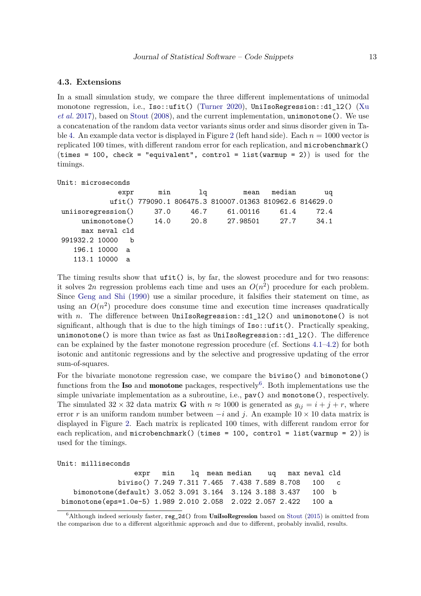### **4.3. Extensions**

In a small simulation study, we compare the three different implementations of unimodal monotone regression, i.e., Iso::ufit() [\(Turner](#page-18-7) [2020\)](#page-18-7), UniIsoRegression::d1\_12() [\(Xu](#page-18-8) *[et al.](#page-18-8)* [2017\)](#page-18-8), based on [Stout](#page-17-6) [\(2008\)](#page-17-6), and the current implementation, unimonotone(). We use a concatenation of the random data vector variants sinus order and sinus disorder given in Ta-ble [4.](#page-10-0) An example data vector is displayed in Figure [2](#page-11-1) (left hand side). Each  $n = 1000$  vector is replicated 100 times, with different random error for each replication, and microbenchmark()  $(\text{times} = 100, \text{ check} = \text{''equivalent''}, \text{control} = \text{list}(\text{warmup} = 2))$  is used for the timings.

Unit: microseconds

| expr                | min  | la   |                                                         | mean median | uq   |
|---------------------|------|------|---------------------------------------------------------|-------------|------|
|                     |      |      | ufit() 779090.1 806475.3 810007.01363 810962.6 814629.0 |             |      |
| uniisoregression()  | 37.0 | 46.7 | 61.00116                                                | 61.4        | 72.4 |
|                     |      |      | unimonotone() 14.0 20.8 27.98501                        | 27.7        | 34.1 |
| max neval cld       |      |      |                                                         |             |      |
| 991932.2 10000<br>h |      |      |                                                         |             |      |
| 196.1 10000<br>a a  |      |      |                                                         |             |      |
| 113.1 10000<br>a    |      |      |                                                         |             |      |
|                     |      |      |                                                         |             |      |

The timing results show that  $\text{ufit}()$  is, by far, the slowest procedure and for two reasons: it solves 2*n* regression problems each time and uses an  $O(n^2)$  procedure for each problem. Since [Geng and Shi](#page-15-7) [\(1990\)](#page-15-7) use a similar procedure, it falsifies their statement on time, as using an  $O(n^2)$  procedure does consume time and execution time increases quadratically with *n*. The difference between UniIsoRegression::d1\_12() and unimonotone() is not significant, although that is due to the high timings of  $Iso::\text{ufit}()$ . Practically speaking, unimonotone() is more than twice as fast as  $UnifsoRegression::d1_12()$ . The difference can be explained by the faster monotone regression procedure (cf. Sections [4.1–](#page-8-3)[4.2\)](#page-9-2) for both isotonic and antitonic regressions and by the selective and progressive updating of the error sum-of-squares.

For the bivariate monotone regression case, we compare the biviso() and bimonotone() functions from the **Iso** and **monotone** packages, respectively<sup>[6](#page-12-0)</sup>. Both implementations use the simple univariate implementation as a subroutine, i.e., pav() and monotone(), respectively. The simulated  $32 \times 32$  data matrix **G** with  $n \approx 1000$  is generated as  $g_{ij} = i + j + r$ , where error *r* is an uniform random number between  $-i$  and *j*. An example  $10 \times 10$  data matrix is displayed in Figure [2.](#page-11-1) Each matrix is replicated 100 times, with different random error for each replication, and microbenchmark() (times = 100, control = list(warmup = 2)) is used for the timings.

Unit: milliseconds

|                                                                  |  | expr min lq mean median uq max neval cld |  |  |
|------------------------------------------------------------------|--|------------------------------------------|--|--|
| biviso() 7.249 7.311 7.465 7.438 7.589 8.708 100 c               |  |                                          |  |  |
| bimonotone(default) 3.052 3.091 3.164 3.124 3.188 3.437 100 b    |  |                                          |  |  |
| bimonotone(eps=1.0e-5) 1.989 2.010 2.058 2.022 2.057 2.422 100 a |  |                                          |  |  |

<span id="page-12-0"></span> $6$ Although indeed seriously faster, reg\_2d() from UniIsoRegression based on [Stout](#page-17-4) [\(2015\)](#page-17-4) is omitted from the comparison due to a different algorithmic approach and due to different, probably invalid, results.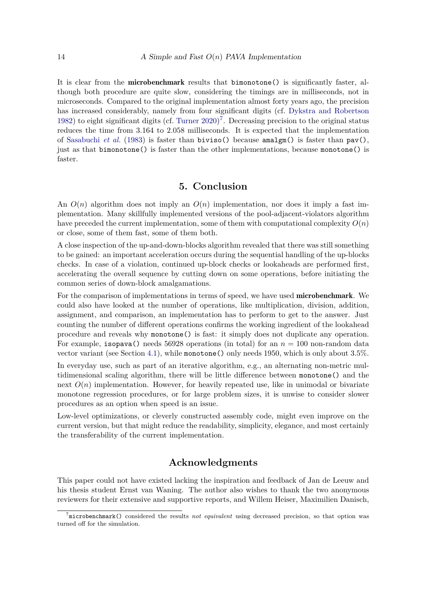It is clear from the microbenchmark results that bimonotone() is significantly faster, although both procedure are quite slow, considering the timings are in milliseconds, not in microseconds. Compared to the original implementation almost forty years ago, the precision has increased considerably, namely from four significant digits (cf. [Dykstra and Robertson](#page-15-3) [1982\)](#page-15-3) to eight significant digits (cf. [Turner](#page-18-7) [2020\)](#page-18-7) [7](#page-13-0) . Decreasing precision to the original status reduces the time from 3*.*164 to 2*.*058 milliseconds. It is expected that the implementation of [Sasabuchi](#page-17-8) *et al.* [\(1983\)](#page-17-8) is faster than biviso() because amalgm() is faster than pav(), just as that bimonotone() is faster than the other implementations, because monotone() is faster.

# **5. Conclusion**

An  $O(n)$  algorithm does not imply an  $O(n)$  implementation, nor does it imply a fast implementation. Many skillfully implemented versions of the pool-adjacent-violators algorithm have preceded the current implementation, some of them with computational complexity *O*(*n*) or close, some of them fast, some of them both.

A close inspection of the up-and-down-blocks algorithm revealed that there was still something to be gained: an important acceleration occurs during the sequential handling of the up-blocks checks. In case of a violation, continued up-block checks or lookaheads are performed first, accelerating the overall sequence by cutting down on some operations, before initiating the common series of down-block amalgamations.

For the comparison of implementations in terms of speed, we have used **microbenchmark**. We could also have looked at the number of operations, like multiplication, division, addition, assignment, and comparison, an implementation has to perform to get to the answer. Just counting the number of different operations confirms the working ingredient of the lookahead procedure and reveals why monotone() is fast: it simply does not duplicate any operation. For example, isopava() needs 56928 operations (in total) for an  $n = 100$  non-random data vector variant (see Section [4.1\)](#page-8-3), while monotone() only needs 1950, which is only about 3.5%.

In everyday use, such as part of an iterative algorithm, e.g., an alternating non-metric multidimensional scaling algorithm, there will be little difference between monotone() and the next  $O(n)$  implementation. However, for heavily repeated use, like in unimodal or bivariate monotone regression procedures, or for large problem sizes, it is unwise to consider slower procedures as an option when speed is an issue.

Low-level optimizations, or cleverly constructed assembly code, might even improve on the current version, but that might reduce the readability, simplicity, elegance, and most certainly the transferability of the current implementation.

# **Acknowledgments**

This paper could not have existed lacking the inspiration and feedback of Jan de Leeuw and his thesis student Ernst van Waning. The author also wishes to thank the two anonymous reviewers for their extensive and supportive reports, and Willem Heiser, Maximilien Danisch,

<span id="page-13-0"></span><sup>7</sup> microbenchmark() considered the results *not equivalent* using decreased precision, so that option was turned off for the simulation.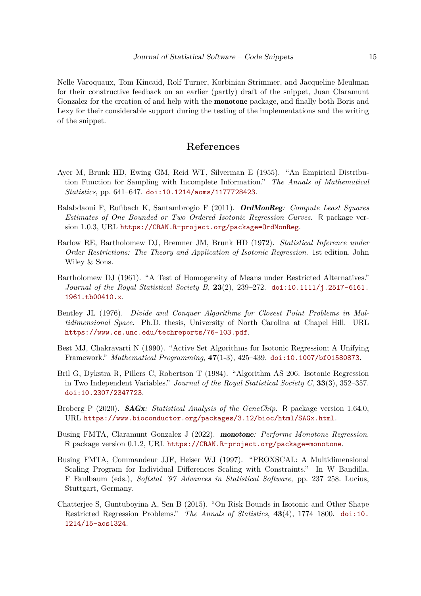Nelle Varoquaux, Tom Kincaid, Rolf Turner, Korbinian Strimmer, and Jacqueline Meulman for their constructive feedback on an earlier (partly) draft of the snippet, Juan Claramunt Gonzalez for the creation of and help with the **monotone** package, and finally both Boris and Lexy for their considerable support during the testing of the implementations and the writing of the snippet.

# **References**

- <span id="page-14-0"></span>Ayer M, Brunk HD, Ewing GM, Reid WT, Silverman E (1955). "An Empirical Distribution Function for Sampling with Incomplete Information." *The Annals of Mathematical Statistics*, pp. 641–647. [doi:10.1214/aoms/1177728423](https://doi.org/10.1214/aoms/1177728423).
- <span id="page-14-10"></span>Balabdaoui F, Rufibach K, Santambrogio F (2011). OrdMonReg*: Compute Least Squares Estimates of One Bounded or Two Ordered Isotonic Regression Curves*. R package version 1.0.3, URL <https://CRAN.R-project.org/package=OrdMonReg>.
- <span id="page-14-1"></span>Barlow RE, Bartholomew DJ, Bremner JM, Brunk HD (1972). *Statistical Inference under Order Restrictions: The Theory and Application of Isotonic Regression*. 1st edition. John Wiley & Sons.
- <span id="page-14-5"></span>Bartholomew DJ (1961). "A Test of Homogeneity of Means under Restricted Alternatives." *Journal of the Royal Statistical Society B*, **23**(2), 239–272. [doi:10.1111/j.2517-6161.](https://doi.org/10.1111/j.2517-6161.1961.tb00410.x) [1961.tb00410.x](https://doi.org/10.1111/j.2517-6161.1961.tb00410.x).
- <span id="page-14-3"></span>Bentley JL (1976). *Divide and Conquer Algorithms for Closest Point Problems in Multidimensional Space*. Ph.D. thesis, University of North Carolina at Chapel Hill. URL <https://www.cs.unc.edu/techreports/76-103.pdf>.
- <span id="page-14-2"></span>Best MJ, Chakravarti N (1990). "Active Set Algorithms for Isotonic Regression; A Unifying Framework." *Mathematical Programming*, **47**(1-3), 425–439. [doi:10.1007/bf01580873](https://doi.org/10.1007/bf01580873).
- <span id="page-14-7"></span>Bril G, Dykstra R, Pillers C, Robertson T (1984). "Algorithm AS 206: Isotonic Regression in Two Independent Variables." *Journal of the Royal Statistical Society C*, **33**(3), 352–357. [doi:10.2307/2347723](https://doi.org/10.2307/2347723).
- <span id="page-14-9"></span>Broberg P (2020). SAGx*: Statistical Analysis of the GeneChip*. R package version 1.64.0, URL <https://www.bioconductor.org/packages/3.12/bioc/html/SAGx.html>.
- <span id="page-14-8"></span>Busing FMTA, Claramunt Gonzalez J (2022). monotone*: Performs Monotone Regression*. R package version 0.1.2, URL <https://CRAN.R-project.org/package=monotone>.
- <span id="page-14-6"></span>Busing FMTA, Commandeur JJF, Heiser WJ (1997). "PROXSCAL: A Multidimensional Scaling Program for Individual Differences Scaling with Constraints." In W Bandilla, F Faulbaum (eds.), *Softstat '97 Advances in Statistical Software*, pp. 237–258. Lucius, Stuttgart, Germany.
- <span id="page-14-4"></span>Chatterjee S, Guntuboyina A, Sen B (2015). "On Risk Bounds in Isotonic and Other Shape Restricted Regression Problems." *The Annals of Statistics*, **43**(4), 1774–1800. [doi:10.](https://doi.org/10.1214/15-aos1324) [1214/15-aos1324](https://doi.org/10.1214/15-aos1324).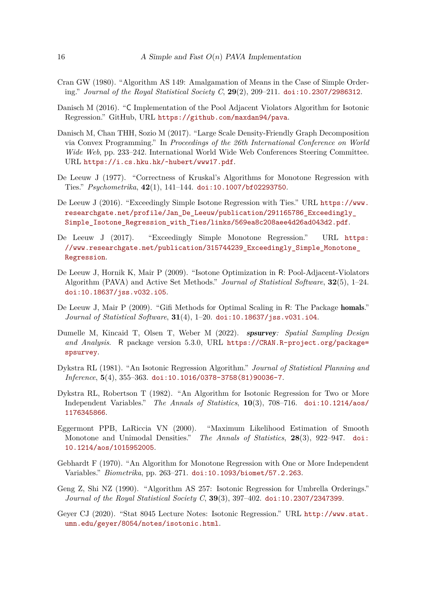- <span id="page-15-5"></span>Cran GW (1980). "Algorithm AS 149: Amalgamation of Means in the Case of Simple Ordering." *Journal of the Royal Statistical Society C*, **29**(2), 209–211. [doi:10.2307/2986312](https://doi.org/10.2307/2986312).
- <span id="page-15-6"></span>Danisch M (2016). "C Implementation of the Pool Adjacent Violators Algorithm for Isotonic Regression." GitHub, URL <https://github.com/maxdan94/pava>.
- <span id="page-15-11"></span>Danisch M, Chan THH, Sozio M (2017). "Large Scale Density-Friendly Graph Decomposition via Convex Programming." In *Proceedings of the 26th International Conference on World Wide Web*, pp. 233–242. International World Wide Web Conferences Steering Committee. URL <https://i.cs.hku.hk/~hubert/www17.pdf>.
- <span id="page-15-12"></span>De Leeuw J (1977). "Correctness of Kruskal's Algorithms for Monotone Regression with Ties." *Psychometrika*, **42**(1), 141–144. [doi:10.1007/bf02293750](https://doi.org/10.1007/bf02293750).
- <span id="page-15-14"></span>De Leeuw J (2016). "Exceedingly Simple Isotone Regression with Ties." URL [https://www.](https://www.researchgate.net/profile/Jan_De_Leeuw/publication/291165786_Exceedingly_Simple_Isotone_Regression_with_Ties/links/569ea8c208aee4d26ad043d2.pdf) [researchgate.net/profile/Jan\\_De\\_Leeuw/publication/291165786\\_Exceedingly\\_](https://www.researchgate.net/profile/Jan_De_Leeuw/publication/291165786_Exceedingly_Simple_Isotone_Regression_with_Ties/links/569ea8c208aee4d26ad043d2.pdf) [Simple\\_Isotone\\_Regression\\_with\\_Ties/links/569ea8c208aee4d26ad043d2.pdf](https://www.researchgate.net/profile/Jan_De_Leeuw/publication/291165786_Exceedingly_Simple_Isotone_Regression_with_Ties/links/569ea8c208aee4d26ad043d2.pdf).
- <span id="page-15-1"></span>De Leeuw J (2017). "Exceedingly Simple Monotone Regression." URL [https:](https://www.researchgate.net/publication/315744239_Exceedingly_Simple_Monotone_Regression) [//www.researchgate.net/publication/315744239\\_Exceedingly\\_Simple\\_Monotone\\_](https://www.researchgate.net/publication/315744239_Exceedingly_Simple_Monotone_Regression) [Regression](https://www.researchgate.net/publication/315744239_Exceedingly_Simple_Monotone_Regression).
- <span id="page-15-0"></span>De Leeuw J, Hornik K, Mair P (2009). "Isotone Optimization in R: Pool-Adjacent-Violators Algorithm (PAVA) and Active Set Methods." *Journal of Statistical Software*, **32**(5), 1–24. [doi:10.18637/jss.v032.i05](https://doi.org/10.18637/jss.v032.i05).
- <span id="page-15-13"></span>De Leeuw J, Mair P (2009). "Gifi Methods for Optimal Scaling in R: The Package homals." *Journal of Statistical Software*, **31**(4), 1–20. [doi:10.18637/jss.v031.i04](https://doi.org/10.18637/jss.v031.i04).
- <span id="page-15-4"></span>Dumelle M, Kincaid T, Olsen T, Weber M (2022). spsurvey*: Spatial Sampling Design and Analysis*. R package version 5.3.0, URL [https://CRAN.R-project.org/package=](https://CRAN.R-project.org/package=spsurvey) [spsurvey](https://CRAN.R-project.org/package=spsurvey).
- <span id="page-15-8"></span>Dykstra RL (1981). "An Isotonic Regression Algorithm." *Journal of Statistical Planning and Inference*, **5**(4), 355–363. [doi:10.1016/0378-3758\(81\)90036-7](https://doi.org/10.1016/0378-3758(81)90036-7).
- <span id="page-15-3"></span>Dykstra RL, Robertson T (1982). "An Algorithm for Isotonic Regression for Two or More Independent Variables." *The Annals of Statistics*, **10**(3), 708–716. [doi:10.1214/aos/](https://doi.org/10.1214/aos/1176345866) [1176345866](https://doi.org/10.1214/aos/1176345866).
- <span id="page-15-2"></span>Eggermont PPB, LaRiccia VN (2000). "Maximum Likelihood Estimation of Smooth Monotone and Unimodal Densities." *The Annals of Statistics*, **28**(3), 922–947. [doi:](https://doi.org/10.1214/aos/1015952005) [10.1214/aos/1015952005](https://doi.org/10.1214/aos/1015952005).
- <span id="page-15-9"></span>Gebhardt F (1970). "An Algorithm for Monotone Regression with One or More Independent Variables." *Biometrika*, pp. 263–271. [doi:10.1093/biomet/57.2.263](https://doi.org/10.1093/biomet/57.2.263).
- <span id="page-15-7"></span>Geng Z, Shi NZ (1990). "Algorithm AS 257: Isotonic Regression for Umbrella Orderings." *Journal of the Royal Statistical Society C*, **39**(3), 397–402. [doi:10.2307/2347399](https://doi.org/10.2307/2347399).
- <span id="page-15-10"></span>Geyer CJ (2020). "Stat 8045 Lecture Notes: Isotonic Regression." URL [http://www.stat.](http://www.stat.umn.edu/geyer/8054/notes/isotonic.html) [umn.edu/geyer/8054/notes/isotonic.html](http://www.stat.umn.edu/geyer/8054/notes/isotonic.html).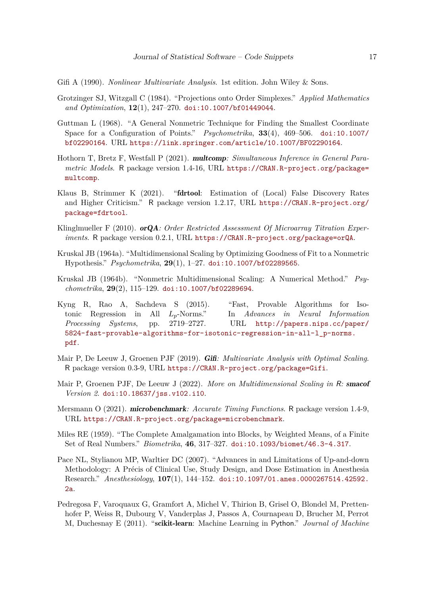<span id="page-16-13"></span>Gifi A (1990). *Nonlinear Multivariate Analysis*. 1st edition. John Wiley & Sons.

- <span id="page-16-2"></span>Grotzinger SJ, Witzgall C (1984). "Projections onto Order Simplexes." *Applied Mathematics and Optimization*, **12**(1), 247–270. [doi:10.1007/bf01449044](https://doi.org/10.1007/bf01449044).
- <span id="page-16-7"></span>Guttman L (1968). "A General Nonmetric Technique for Finding the Smallest Coordinate Space for a Configuration of Points." *Psychometrika*, **33**(4), 469–506. [doi:10.1007/](https://doi.org/10.1007/bf02290164) [bf02290164](https://doi.org/10.1007/bf02290164). URL <https://link.springer.com/article/10.1007/BF02290164>.
- <span id="page-16-9"></span>Hothorn T, Bretz F, Westfall P (2021). multcomp*: Simultaneous Inference in General Parametric Models*. R package version 1.4-16, URL [https://CRAN.R-project.org/package=](https://CRAN.R-project.org/package=multcomp) [multcomp](https://CRAN.R-project.org/package=multcomp).
- <span id="page-16-11"></span>Klaus B, Strimmer K (2021). "fdrtool: Estimation of (Local) False Discovery Rates and Higher Criticism." R package version 1.2.17, URL [https://CRAN.R-project.org/](https://CRAN.R-project.org/package=fdrtool) [package=fdrtool](https://CRAN.R-project.org/package=fdrtool).
- <span id="page-16-5"></span>Klinglmueller F (2010). orQA*: Order Restricted Assessment Of Microarray Titration Experiments*. R package version 0.2.1, URL <https://CRAN.R-project.org/package=orQA>.
- <span id="page-16-6"></span>Kruskal JB (1964a). "Multidimensional Scaling by Optimizing Goodness of Fit to a Nonmetric Hypothesis." *Psychometrika*, **29**(1), 1–27. [doi:10.1007/bf02289565](https://doi.org/10.1007/bf02289565).
- <span id="page-16-1"></span>Kruskal JB (1964b). "Nonmetric Multidimensional Scaling: A Numerical Method." *Psychometrika*, **29**(2), 115–129. [doi:10.1007/bf02289694](https://doi.org/10.1007/bf02289694).
- <span id="page-16-3"></span>Kyng R, Rao A, Sachdeva S (2015). "Fast, Provable Algorithms for Isotonic Regression in All *Lp*-Norms." In *Advances in Neural Information Processing Systems*, pp. 2719–2727. URL [http://papers.nips.cc/paper/](http://papers.nips.cc/paper/5824-fast-provable-algorithms-for-isotonic-regression-in-all-l_p-norms.pdf) [5824-fast-provable-algorithms-for-isotonic-regression-in-all-l\\_p-norms.](http://papers.nips.cc/paper/5824-fast-provable-algorithms-for-isotonic-regression-in-all-l_p-norms.pdf) [pdf](http://papers.nips.cc/paper/5824-fast-provable-algorithms-for-isotonic-regression-in-all-l_p-norms.pdf).
- <span id="page-16-14"></span>Mair P, De Leeuw J, Groenen PJF (2019). Gifi*: Multivariate Analysis with Optimal Scaling*. R package version 0.3-9, URL <https://CRAN.R-project.org/package=Gifi>.
- <span id="page-16-10"></span>Mair P, Groenen PJF, De Leeuw J (2022). *More on Multidimensional Scaling in* R*:* smacof *Version 2*. [doi:10.18637/jss.v102.i10](https://doi.org/10.18637/jss.v102.i10).
- <span id="page-16-8"></span>Mersmann O (2021). microbenchmark*: Accurate Timing Functions*. R package version 1.4-9, URL <https://CRAN.R-project.org/package=microbenchmark>.
- <span id="page-16-0"></span>Miles RE (1959). "The Complete Amalgamation into Blocks, by Weighted Means, of a Finite Set of Real Numbers." *Biometrika*, **46**, 317–327. [doi:10.1093/biomet/46.3-4.317](https://doi.org/10.1093/biomet/46.3-4.317).
- <span id="page-16-4"></span>Pace NL, Stylianou MP, Warltier DC (2007). "Advances in and Limitations of Up-and-down Methodology: A Précis of Clinical Use, Study Design, and Dose Estimation in Anesthesia Research." *Anesthesiology*, **107**(1), 144–152. [doi:10.1097/01.anes.0000267514.42592.](https://doi.org/10.1097/01.anes.0000267514.42592.2a) [2a](https://doi.org/10.1097/01.anes.0000267514.42592.2a).
- <span id="page-16-12"></span>Pedregosa F, Varoquaux G, Gramfort A, Michel V, Thirion B, Grisel O, Blondel M, Prettenhofer P, Weiss R, Dubourg V, Vanderplas J, Passos A, Cournapeau D, Brucher M, Perrot M, Duchesnay E (2011). "scikit-learn: Machine Learning in Python." *Journal of Machine*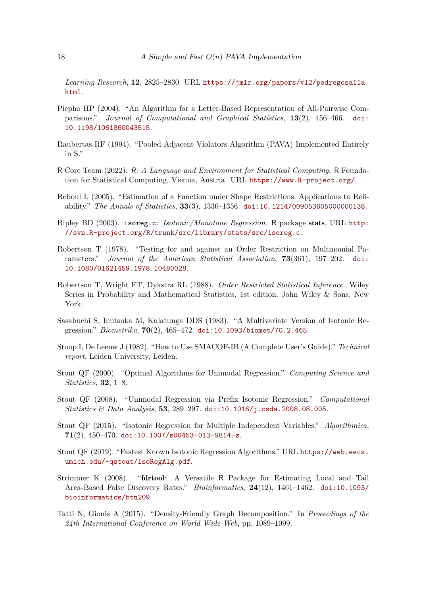*Learning Research*, **12**, 2825–2830. URL [https://jmlr.org/papers/v12/pedregosa11a.](https://jmlr.org/papers/v12/pedregosa11a.html) [html](https://jmlr.org/papers/v12/pedregosa11a.html).

- <span id="page-17-10"></span>Piepho HP (2004). "An Algorithm for a Letter-Based Representation of All-Pairwise Comparisons." *Journal of Computational and Graphical Statistics*, **13**(2), 456–466. [doi:](https://doi.org/10.1198/1061860043515) [10.1198/1061860043515](https://doi.org/10.1198/1061860043515).
- <span id="page-17-9"></span>Raubertas RF (1994). "Pooled Adjacent Violators Algorithm (PAVA) Implemented Entirely in S."
- <span id="page-17-12"></span>R Core Team (2022). R*: A Language and Environment for Statistical Computing*. R Foundation for Statistical Computing, Vienna, Austria. URL <https://www.R-project.org/>.
- <span id="page-17-3"></span>Reboul L (2005). "Estimation of a Function under Shape Restrictions. Applications to Reliability." *The Annals of Statistics*, **33**(3), 1330–1356. [doi:10.1214/009053605000000138](https://doi.org/10.1214/009053605000000138).
- <span id="page-17-11"></span>Ripley BD (2003). isoreg.c*: Isotonic/Monotone Regression*. R package stats, URL [http:](http://svn.R-project.org/R/trunk/src/library/stats/src/isoreg.c) [//svn.R-project.org/R/trunk/src/library/stats/src/isoreg.c](http://svn.R-project.org/R/trunk/src/library/stats/src/isoreg.c).
- <span id="page-17-2"></span>Robertson T (1978). "Testing for and against an Order Restriction on Multinomial Parameters." *Journal of the American Statistical Association*, **73**(361), 197–202. [doi:](https://doi.org/10.1080/01621459.1978.10480028) [10.1080/01621459.1978.10480028](https://doi.org/10.1080/01621459.1978.10480028).
- <span id="page-17-0"></span>Robertson T, Wright FT, Dykstra RL (1988). *Order Restricted Statistical Inference*. Wiley Series in Probability and Mathematical Statistics, 1st edition. John Wiley & Sons, New York.
- <span id="page-17-8"></span>Sasabuchi S, Inutsuka M, Kulatunga DDS (1983). "A Multivariate Version of Isotonic Regression." *Biometrika*, **70**(2), 465–472. [doi:10.1093/biomet/70.2.465](https://doi.org/10.1093/biomet/70.2.465).
- <span id="page-17-5"></span>Stoop I, De Leeuw J (1982). "How to Use SMACOF-IB (A Complete User's Guide)." *Technical report*, Leiden University, Leiden.
- <span id="page-17-7"></span>Stout QF (2000). "Optimal Algorithms for Unimodal Regression." *Computing Science and Statistics*, **32**, 1–8.
- <span id="page-17-6"></span>Stout QF (2008). "Unimodal Regression via Prefix Isotonic Regression." *Computational Statistics & Data Analysis*, **53**, 289–297. [doi:10.1016/j.csda.2008.08.005](https://doi.org/10.1016/j.csda.2008.08.005).
- <span id="page-17-4"></span>Stout QF (2015). "Isotonic Regression for Multiple Independent Variables." *Algorithmica*, **71**(2), 450–470. [doi:10.1007/s00453-013-9814-z](https://doi.org/10.1007/s00453-013-9814-z).
- <span id="page-17-1"></span>Stout QF (2019). "Fastest Known Isotonic Regression Algorithms." URL [https://web.eecs.](https://web.eecs.umich.edu/~qstout/IsoRegAlg.pdf) [umich.edu/~qstout/IsoRegAlg.pdf](https://web.eecs.umich.edu/~qstout/IsoRegAlg.pdf).
- <span id="page-17-13"></span>Strimmer K (2008). "fdrtool: A Versatile R Package for Estimating Local and Tail Area-Based False Discovery Rates." *Bioinformatics*, **24**(12), 1461–1462. [doi:10.1093/](https://doi.org/10.1093/bioinformatics/btn209) [bioinformatics/btn209](https://doi.org/10.1093/bioinformatics/btn209).
- <span id="page-17-14"></span>Tatti N, Gionis A (2015). "Density-Friendly Graph Decomposition." In *Proceedings of the 24th International Conference on World Wide Web*, pp. 1089–1099.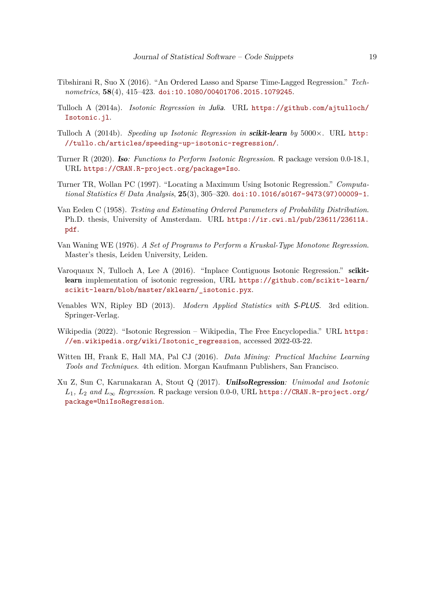- <span id="page-18-5"></span>Tibshirani R, Suo X (2016). "An Ordered Lasso and Sparse Time-Lagged Regression." *Technometrics*, **58**(4), 415–423. [doi:10.1080/00401706.2015.1079245](https://doi.org/10.1080/00401706.2015.1079245).
- <span id="page-18-3"></span>Tulloch A (2014a). *Isotonic Regression in* Julia. URL [https://github.com/ajtulloch/](https://github.com/ajtulloch/Isotonic.jl) [Isotonic.jl](https://github.com/ajtulloch/Isotonic.jl).
- <span id="page-18-11"></span>Tulloch A (2014b). *Speeding up Isotonic Regression in* scikit-learn *by* 5000×. URL [http:](http://tullo.ch/articles/speeding-up-isotonic-regression/) [//tullo.ch/articles/speeding-up-isotonic-regression/](http://tullo.ch/articles/speeding-up-isotonic-regression/).
- <span id="page-18-7"></span>Turner R (2020). Iso*: Functions to Perform Isotonic Regression*. R package version 0.0-18.1, URL <https://CRAN.R-project.org/package=Iso>.
- <span id="page-18-4"></span>Turner TR, Wollan PC (1997). "Locating a Maximum Using Isotonic Regression." *Computational Statistics & Data Analysis*, **25**(3), 305–320. [doi:10.1016/s0167-9473\(97\)00009-1](https://doi.org/10.1016/s0167-9473(97)00009-1).
- <span id="page-18-0"></span>Van Eeden C (1958). *Testing and Estimating Ordered Parameters of Probability Distribution*. Ph.D. thesis, University of Amsterdam. URL [https://ir.cwi.nl/pub/23611/23611A.](https://ir.cwi.nl/pub/23611/23611A.pdf) [pdf](https://ir.cwi.nl/pub/23611/23611A.pdf).
- <span id="page-18-1"></span>Van Waning WE (1976). *A Set of Programs to Perform a Kruskal-Type Monotone Regression*. Master's thesis, Leiden University, Leiden.
- <span id="page-18-9"></span>Varoquaux N, Tulloch A, Lee A (2016). "Inplace Contiguous Isotonic Regression." scikitlearn implementation of isotonic regression, URL [https://github.com/scikit-learn/](https://github.com/scikit-learn/scikit-learn/blob/master/sklearn/_isotonic.pyx) [scikit-learn/blob/master/sklearn/\\_isotonic.pyx](https://github.com/scikit-learn/scikit-learn/blob/master/sklearn/_isotonic.pyx).
- <span id="page-18-6"></span>Venables WN, Ripley BD (2013). *Modern Applied Statistics with* S-PLUS. 3rd edition. Springer-Verlag.
- <span id="page-18-2"></span>Wikipedia (2022). "Isotonic Regression – Wikipedia, The Free Encyclopedia." URL [https:](https://en.wikipedia.org/wiki/Isotonic_regression) [//en.wikipedia.org/wiki/Isotonic\\_regression](https://en.wikipedia.org/wiki/Isotonic_regression), accessed 2022-03-22.
- <span id="page-18-10"></span>Witten IH, Frank E, Hall MA, Pal CJ (2016). *Data Mining: Practical Machine Learning Tools and Techniques*. 4th edition. Morgan Kaufmann Publishers, San Francisco.
- <span id="page-18-8"></span>Xu Z, Sun C, Karunakaran A, Stout Q (2017). UniIsoRegression*: Unimodal and Isotonic L*1*, L*<sup>2</sup> *and L*<sup>∞</sup> *Regression*. R package version 0.0-0, URL [https://CRAN.R-project.org/](https://CRAN.R-project.org/package=UniIsoRegression) [package=UniIsoRegression](https://CRAN.R-project.org/package=UniIsoRegression).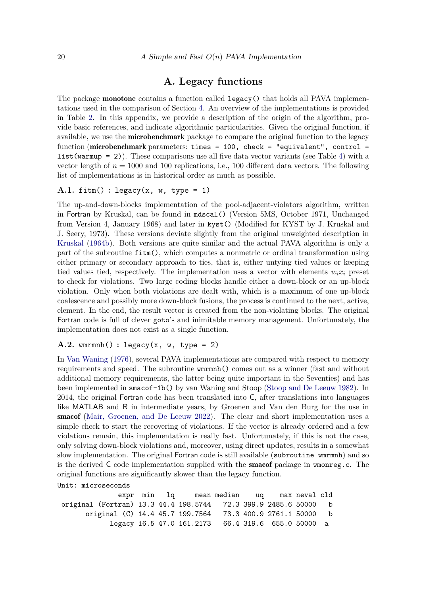# **A. Legacy functions**

<span id="page-19-0"></span>The package **monotone** contains a function called **legacy**() that holds all PAVA implementations used in the comparison of Section [4.](#page-7-0) An overview of the implementations is provided in Table [2.](#page-7-1) In this appendix, we provide a description of the origin of the algorithm, provide basic references, and indicate algorithmic particularities. Given the original function, if available, we use the **microbenchmark** package to compare the original function to the legacy function (microbenchmark parameters: times = 100, check = "equivalent", control = list(warmup = 2)). These comparisons use all five data vector variants (see Table [4\)](#page-10-0) with a vector length of  $n = 1000$  and 100 replications, i.e., 100 different data vectors. The following list of implementations is in historical order as much as possible.

#### **A.1.** fitm() **:** legacy(x, w, type = 1)

The up-and-down-blocks implementation of the pool-adjacent-violators algorithm, written in Fortran by Kruskal, can be found in mdscal() (Version 5MS, October 1971, Unchanged from Version 4, January 1968) and later in kyst() (Modified for KYST by J. Kruskal and J. Seery, 1973). These versions deviate slightly from the original unweighted description in [Kruskal](#page-16-1) [\(1964b\)](#page-16-1). Both versions are quite similar and the actual PAVA algorithm is only a part of the subroutine fitm(), which computes a nonmetric or ordinal transformation using either primary or secondary approach to ties, that is, either untying tied values or keeping tied values tied, respectively. The implementation uses a vector with elements  $w_i x_i$  preset to check for violations. Two large coding blocks handle either a down-block or an up-block violation. Only when both violations are dealt with, which is a maximum of one up-block coalescence and possibly more down-block fusions, the process is continued to the next, active, element. In the end, the result vector is created from the non-violating blocks. The original Fortran code is full of clever goto's and inimitable memory management. Unfortunately, the implementation does not exist as a single function.

### $A.2.$  wmrmnh() : legacy(x, w, type = 2)

In [Van Waning](#page-18-1) [\(1976\)](#page-18-1), several PAVA implementations are compared with respect to memory requirements and speed. The subroutine wmrmnh() comes out as a winner (fast and without additional memory requirements, the latter being quite important in the Seventies) and has been implemented in smacof-1b() by van Waning and Stoop [\(Stoop and De Leeuw](#page-17-5) [1982\)](#page-17-5). In 2014, the original Fortran code has been translated into C, after translations into languages like MATLAB and R in intermediate years, by Groenen and Van den Burg for the use in smacof [\(Mair, Groenen, and De Leeuw](#page-16-10) [2022\)](#page-16-10). The clear and short implementation uses a simple check to start the recovering of violations. If the vector is already ordered and a few violations remain, this implementation is really fast. Unfortunately, if this is not the case, only solving down-block violations and, moreover, using direct updates, results in a somewhat slow implementation. The original Fortran code is still available (subroutine wmrmnh) and so is the derived  $\mathsf C$  code implementation supplied with the **smacof** package in **w** monreg.c. The original functions are significantly slower than the legacy function.

Unit: microseconds

```
expr min lq mean median uq max neval cld
original (Fortran) 13.3 44.4 198.5744 72.3 399.9 2485.6 50000 b
     original (C) 14.4 45.7 199.7564 73.3 400.9 2761.1 50000 b
          legacy 16.5 47.0 161.2173 66.4 319.6 655.0 50000 a
```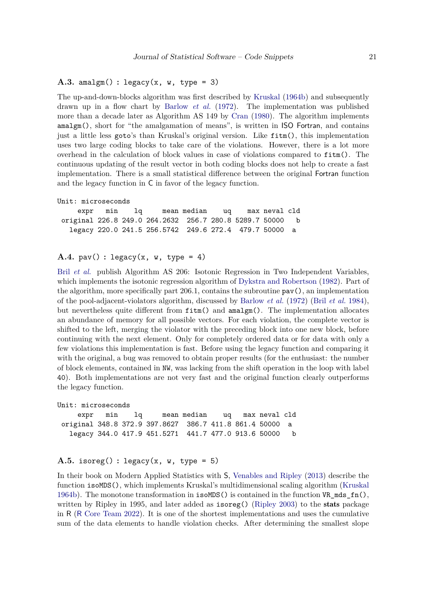A.3. amalgm $()$ : legacy $(x, w, type = 3)$ 

The up-and-down-blocks algorithm was first described by [Kruskal](#page-16-1) [\(1964b\)](#page-16-1) and subsequently drawn up in a flow chart by [Barlow](#page-14-1) *et al.* [\(1972\)](#page-14-1). The implementation was published more than a decade later as Algorithm AS 149 by [Cran](#page-15-5) [\(1980\)](#page-15-5). The algorithm implements amalgm(), short for "the amalgamation of means", is written in ISO Fortran, and contains just a little less goto's than Kruskal's original version. Like fitm(), this implementation uses two large coding blocks to take care of the violations. However, there is a lot more overhead in the calculation of block values in case of violations compared to fitm(). The continuous updating of the result vector in both coding blocks does not help to create a fast implementation. There is a small statistical difference between the original Fortran function and the legacy function in C in favor of the legacy function.

```
Unit: microseconds
```
expr min lq mean median uq max neval cld original 226.8 249.0 264.2632 256.7 280.8 5289.7 50000 b legacy 220.0 241.5 256.5742 249.6 272.4 479.7 50000 a

#### **A.4.** pav() : legacy(x, w, type = 4)

Bril *[et al.](#page-14-7)* publish Algorithm AS 206: Isotonic Regression in Two Independent Variables, which implements the isotonic regression algorithm of [Dykstra and Robertson](#page-15-3) [\(1982\)](#page-15-3). Part of the algorithm, more specifically part 206*.*1, contains the subroutine pav(), an implementation of the pool-adjacent-violators algorithm, discussed by [Barlow](#page-14-1) *et al.* [\(1972\)](#page-14-1) (Bril *[et al.](#page-14-7)* [1984\)](#page-14-7), but nevertheless quite different from fitm() and amalgm(). The implementation allocates an abundance of memory for all possible vectors. For each violation, the complete vector is shifted to the left, merging the violator with the preceding block into one new block, before continuing with the next element. Only for completely ordered data or for data with only a few violations this implementation is fast. Before using the legacy function and comparing it with the original, a bug was removed to obtain proper results (for the enthusiast: the number of block elements, contained in NW, was lacking from the shift operation in the loop with label 40). Both implementations are not very fast and the original function clearly outperforms the legacy function.

```
Unit: microseconds
```
expr min lq mean median uq max neval cld original 348.8 372.9 397.8627 386.7 411.8 861.4 50000 a legacy 344.0 417.9 451.5271 441.7 477.0 913.6 50000 b

#### A.5. isoreg():  $\text{legacy}(x, w, \text{type} = 5)$

In their book on Modern Applied Statistics with S, [Venables and Ripley](#page-18-6) [\(2013\)](#page-18-6) describe the function isoMDS(), which implements Kruskal's multidimensional scaling algorithm [\(Kruskal](#page-16-1) [1964b\)](#page-16-1). The monotone transformation in  $isomDS()$  is contained in the function VR\_mds\_fn(), written by Ripley in 1995, and later added as isoreg() [\(Ripley](#page-17-11) [2003\)](#page-17-11) to the stats package in R (R [Core Team](#page-17-12) [2022\)](#page-17-12). It is one of the shortest implementations and uses the cumulative sum of the data elements to handle violation checks. After determining the smallest slope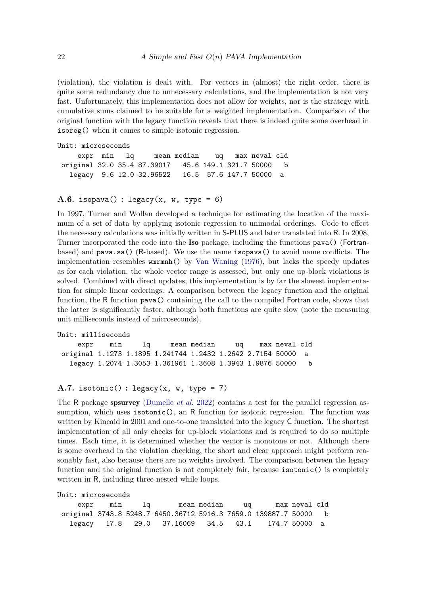(violation), the violation is dealt with. For vectors in (almost) the right order, there is quite some redundancy due to unnecessary calculations, and the implementation is not very fast. Unfortunately, this implementation does not allow for weights, nor is the strategy with cumulative sums claimed to be suitable for a weighted implementation. Comparison of the original function with the legacy function reveals that there is indeed quite some overhead in isoreg() when it comes to simple isotonic regression.

```
Unit: microseconds
    expr min lq mean median uq max neval cld
original 32.0 35.4 87.39017 45.6 149.1 321.7 50000 b
  legacy 9.6 12.0 32.96522 16.5 57.6 147.7 50000 a
```
#### A.6. isopava $()$ : legacy $(x, w, type = 6)$

In 1997, Turner and Wollan developed a technique for estimating the location of the maximum of a set of data by applying isotonic regression to unimodal orderings. Code to effect the necessary calculations was initially written in S-PLUS and later translated into R. In 2008, Turner incorporated the code into the Iso package, including the functions pava() (Fortranbased) and pava.sa() (R-based). We use the name isopava() to avoid name conflicts. The implementation resembles wmrmnh() by [Van Waning](#page-18-1) [\(1976\)](#page-18-1), but lacks the speedy updates as for each violation, the whole vector range is assessed, but only one up-block violations is solved. Combined with direct updates, this implementation is by far the slowest implementation for simple linear orderings. A comparison between the legacy function and the original function, the R function pava() containing the call to the compiled Fortran code, shows that the latter is significantly faster, although both functions are quite slow (note the measuring unit milliseconds instead of microseconds).

```
Unit: milliseconds
    expr min lq mean median uq max neval cld
original 1.1273 1.1895 1.241744 1.2432 1.2642 2.7154 50000 a
  legacy 1.2074 1.3053 1.361961 1.3608 1.3943 1.9876 50000 b
```

```
A.7. isotonic() : legacy(x, w, type = 7)
```
The R package spsurvey [\(Dumelle](#page-15-4) *et al.* [2022\)](#page-15-4) contains a test for the parallel regression assumption, which uses isotonic(), an R function for isotonic regression. The function was written by Kincaid in 2001 and one-to-one translated into the legacy C function. The shortest implementation of all only checks for up-block violations and is required to do so multiple times. Each time, it is determined whether the vector is monotone or not. Although there is some overhead in the violation checking, the short and clear approach might perform reasonably fast, also because there are no weights involved. The comparison between the legacy function and the original function is not completely fair, because isotonic() is completely written in R, including three nested while loops.

```
Unit: microseconds
```

| expr min lq |                                                                  | mean median ug |  | max neval cld |  |
|-------------|------------------------------------------------------------------|----------------|--|---------------|--|
|             | original 3743.8 5248.7 6450.36712 5916.3 7659.0 139887.7 50000 b |                |  |               |  |
|             | legacy 17.8 29.0 37.16069 34.5 43.1 174.7 50000 a                |                |  |               |  |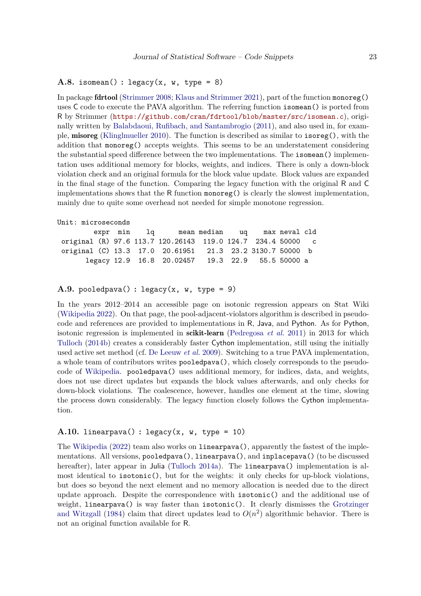#### A.8. isomean() :  $\text{legacy}(x, w, \text{type} = 8)$

In package fdrtool [\(Strimmer](#page-17-13) [2008;](#page-17-13) [Klaus and Strimmer](#page-16-11) [2021\)](#page-16-11), part of the function monoreg() uses C code to execute the PAVA algorithm. The referring function isomean() is ported from R by Strimmer (<https://github.com/cran/fdrtool/blob/master/src/isomean.c>), originally written by [Balabdaoui, Rufibach, and Santambrogio](#page-14-10) [\(2011\)](#page-14-10), and also used in, for example, misoreg [\(Klinglmueller](#page-16-5) [2010\)](#page-16-5). The function is described as similar to isoreg(), with the addition that monoreg() accepts weights. This seems to be an understatement considering the substantial speed difference between the two implementations. The isomean() implementation uses additional memory for blocks, weights, and indices. There is only a down-block violation check and an original formula for the block value update. Block values are expanded in the final stage of the function. Comparing the legacy function with the original R and C implementations shows that the R function monoreg() is clearly the slowest implementation, mainly due to quite some overhead not needed for simple monotone regression.

```
Unit: microseconds
        expr min lq mean median uq max neval cld
original (R) 97.6 113.7 120.26143 119.0 124.7 234.4 50000 c
original (C) 13.3 17.0 20.61951 21.3 23.2 3130.7 50000 b
      legacy 12.9 16.8 20.02457 19.3 22.9 55.5 50000 a
```
#### **A.9.** pooledpava() **:** legacy(x, w, type = 9)

In the years 2012–2014 an accessible page on isotonic regression appears on Stat Wiki [\(Wikipedia](#page-18-2) [2022\)](#page-18-2). On that page, the pool-adjacent-violators algorithm is described in pseudocode and references are provided to implementations in R, Java, and Python. As for Python, isotonic regression is implemented in scikit-learn [\(Pedregosa](#page-16-12) *et al.* [2011\)](#page-16-12) in 2013 for which [Tulloch](#page-18-11) [\(2014b\)](#page-18-11) creates a considerably faster Cython implementation, still using the initially used active set method (cf. [De Leeuw](#page-15-0) *et al.* [2009\)](#page-15-0). Switching to a true PAVA implementation, a whole team of contributors writes pooledpava(), which closely corresponds to the pseudocode of [Wikipedia.](#page-18-2) pooledpava() uses additional memory, for indices, data, and weights, does not use direct updates but expands the block values afterwards, and only checks for down-block violations. The coalescence, however, handles one element at the time, slowing the process down considerably. The legacy function closely follows the Cython implementation.

# A.10. linearpava $()$ : legacy $(x, w, tvpe = 10)$

The [Wikipedia](#page-18-2) [\(2022\)](#page-18-2) team also works on linearpava(), apparently the fastest of the implementations. All versions, pooledpava(), linearpava(), and inplacepava() (to be discussed hereafter), later appear in Julia [\(Tulloch](#page-18-3) [2014a\)](#page-18-3). The **linearpava** () implementation is almost identical to isotonic(), but for the weights: it only checks for up-block violations, but does so beyond the next element and no memory allocation is needed due to the direct update approach. Despite the correspondence with isotonic() and the additional use of weight, linearpava() is way faster than isotonic(). It clearly dismisses the [Grotzinger](#page-16-2) [and Witzgall](#page-16-2) [\(1984\)](#page-16-2) claim that direct updates lead to  $O(n^2)$  algorithmic behavior. There is not an original function available for R.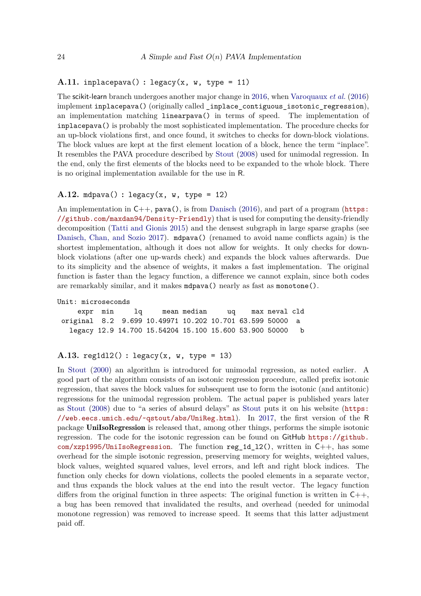# A.11. inplacepava $()$ : legacy $(x, w, type = 11)$

The scikit-learn branch undergoes another major change in [2016,](#page-18-9) when [Varoquaux](#page-18-9) *et al.* [\(2016\)](#page-18-9) implement inplacepava() (originally called \_inplace\_contiguous\_isotonic\_regression), an implementation matching linearpava() in terms of speed. The implementation of inplacepava() is probably the most sophisticated implementation. The procedure checks for an up-block violations first, and once found, it switches to checks for down-block violations. The block values are kept at the first element location of a block, hence the term "inplace". It resembles the PAVA procedure described by [Stout](#page-17-6) [\(2008\)](#page-17-6) used for unimodal regression. In the end, only the first elements of the blocks need to be expanded to the whole block. There is no original implementation available for the use in R.

#### **A.12.** mdpava() **:** legacy(x, w, type = 12)

An implementation in  $C_{++}$ , pava(), is from [Danisch](#page-15-6) [\(2016\)](#page-15-6), and part of a program ([https:](https://github.com/maxdan94/Density-Friendly) [//github.com/maxdan94/Density-Friendly](https://github.com/maxdan94/Density-Friendly)) that is used for computing the density-friendly decomposition [\(Tatti and Gionis](#page-17-14) [2015\)](#page-17-14) and the densest subgraph in large sparse graphs (see [Danisch, Chan, and Sozio](#page-15-11) [2017\)](#page-15-11). mdpava() (renamed to avoid name conflicts again) is the shortest implementation, although it does not allow for weights. It only checks for downblock violations (after one up-wards check) and expands the block values afterwards. Due to its simplicity and the absence of weights, it makes a fast implementation. The original function is faster than the legacy function, a difference we cannot explain, since both codes are remarkably similar, and it makes mdpava() nearly as fast as monotone().

```
Unit: microseconds
```
expr min lq mean median uq max neval cld original 8.2 9.699 10.49971 10.202 10.701 63.599 50000 a legacy 12.9 14.700 15.54204 15.100 15.600 53.900 50000 b

# **A.13.** reg1dl2() **:** legacy(x, w, type = 13)

In [Stout](#page-17-7) [\(2000\)](#page-17-7) an algorithm is introduced for unimodal regression, as noted earlier. A good part of the algorithm consists of an isotonic regression procedure, called prefix isotonic regression, that saves the block values for subsequent use to form the isotonic (and antitonic) regressions for the unimodal regression problem. The actual paper is published years later as [Stout](#page-17-6) [\(2008\)](#page-17-6) due to "a series of absurd delays" as [Stout](#page-17-7) puts it on his website ([https:](https://web.eecs.umich.edu/~qstout/abs/UniReg.html) [//web.eecs.umich.edu/~qstout/abs/UniReg.html](https://web.eecs.umich.edu/~qstout/abs/UniReg.html)). In [2017,](#page-18-8) the first version of the R package UniIsoRegression is released that, among other things, performs the simple isotonic regression. The code for the isotonic regression can be found on GitHub [https://github.](https://github.com/xzp1995/UniIsoRegression)  $com/xzp1995/UnitIsoRegression$ . The function reg\_1d\_12(), written in C++, has some overhead for the simple isotonic regression, preserving memory for weights, weighted values, block values, weighted squared values, level errors, and left and right block indices. The function only checks for down violations, collects the pooled elements in a separate vector, and thus expands the block values at the end into the result vector. The legacy function differs from the original function in three aspects: The original function is written in  $C_{++}$ , a bug has been removed that invalidated the results, and overhead (needed for unimodal monotone regression) was removed to increase speed. It seems that this latter adjustment paid off.